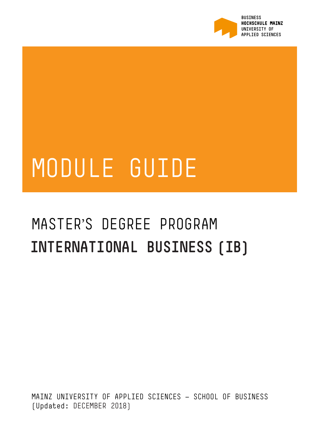

# MODULE GUIDE

# MASTER'S DEGREE PROGRAM **INTERNATIONAL BUSINESS (IB)**

MAINZ UNIVERSITY OF APPLIED SCIENCES — SCHOOL OF BUSINESS (Updated: DECEMBER 2018)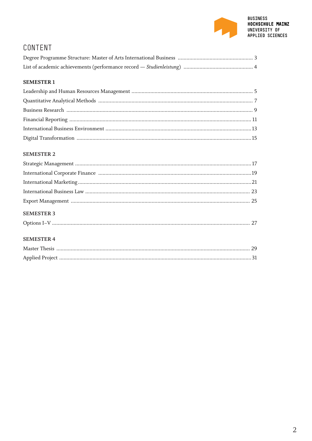

# CONTENT

#### **SEMESTER 1**

#### **SEMESTER 2**

| <b>SEMESTER 3</b> |  |
|-------------------|--|

#### **SEMESTER 4**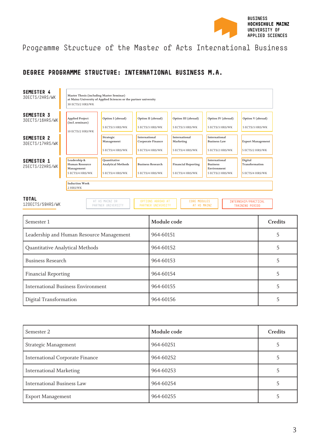

## Programme Structure of the Master of Arts International Business

### **DEGREE PROGRAMME STRUCTURE: INTERNATIONAL BUSINESS M.A.**



| Semester 1                                | Module code | Credits |
|-------------------------------------------|-------------|---------|
| Leadership and Human Resource Management  | 964-60151   |         |
| Quantitative Analytical Methods           | 964-60152   |         |
| <b>Business Research</b>                  | 964-60153   |         |
| <b>Financial Reporting</b>                | 964-60154   |         |
| <b>International Business Environment</b> | 964-60155   |         |
| Digital Transformation                    | 964-60156   |         |

| Semester 2                             | Module code | Credits |
|----------------------------------------|-------------|---------|
| Strategic Management                   | 964-60251   |         |
| <b>International Corporate Finance</b> | 964-60252   |         |
| <b>International Marketing</b>         | 964-60253   |         |
| <b>International Business Law</b>      | 964-60254   |         |
| <b>Export Management</b>               | 964-60255   |         |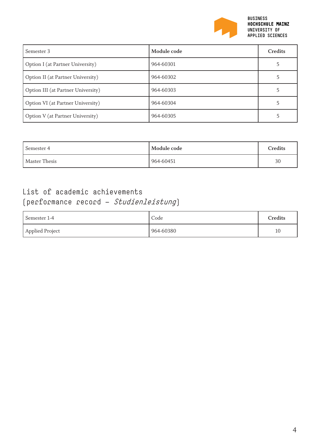

| Semester 3                         | Module code | Credits |
|------------------------------------|-------------|---------|
| Option I (at Partner University)   | 964-60301   |         |
| Option II (at Partner University)  | 964-60302   |         |
| Option III (at Partner University) | 964-60303   |         |
| Option VI (at Partner University)  | 964-60304   |         |
| Option V (at Partner University)   | 964-60305   |         |

| Module code<br>Semester 4 |           | Credits |  |
|---------------------------|-----------|---------|--|
| Master Thesis             | 964-60451 | 30      |  |

# List of academic achievements (performance record — Studienleistung)

| Semester 1-4    | Code      | Credits |
|-----------------|-----------|---------|
| Applied Project | 964-60380 | 10      |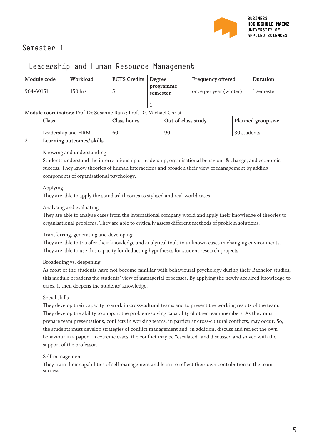

| Leadership and Human Resource Management |                                                                                                                                                                                                                             |                                                                                |             |                          |                    |                                                                                                              |                    |            |
|------------------------------------------|-----------------------------------------------------------------------------------------------------------------------------------------------------------------------------------------------------------------------------|--------------------------------------------------------------------------------|-------------|--------------------------|--------------------|--------------------------------------------------------------------------------------------------------------|--------------------|------------|
|                                          | Workload<br>Module code<br><b>ECTS Credits</b><br>Degree                                                                                                                                                                    |                                                                                |             | <b>Frequency offered</b> |                    | <b>Duration</b>                                                                                              |                    |            |
| 964-60151                                |                                                                                                                                                                                                                             | 150 hrs                                                                        | 5           | programme<br>semester    |                    | once per year (winter)                                                                                       |                    | 1 semester |
|                                          |                                                                                                                                                                                                                             |                                                                                |             | 1                        |                    |                                                                                                              |                    |            |
|                                          |                                                                                                                                                                                                                             | Module coordinators: Prof. Dr. Susanne Rank; Prof. Dr. Michael Christ          |             |                          |                    |                                                                                                              |                    |            |
| $\mathbf{1}$                             | Class                                                                                                                                                                                                                       |                                                                                | Class hours |                          | Out-of-class study |                                                                                                              | Planned group size |            |
|                                          | Leadership and HRM                                                                                                                                                                                                          |                                                                                | 60          |                          | 90                 |                                                                                                              | 30 students        |            |
| 2                                        |                                                                                                                                                                                                                             | Learning outcomes/ skills                                                      |             |                          |                    |                                                                                                              |                    |            |
|                                          |                                                                                                                                                                                                                             | Knowing and understanding                                                      |             |                          |                    |                                                                                                              |                    |            |
|                                          |                                                                                                                                                                                                                             |                                                                                |             |                          |                    | Students understand the interrelationship of leadership, organisational behaviour & change, and economic     |                    |            |
|                                          |                                                                                                                                                                                                                             |                                                                                |             |                          |                    | success. They know theories of human interactions and broaden their view of management by adding             |                    |            |
|                                          |                                                                                                                                                                                                                             | components of organisational psychology.                                       |             |                          |                    |                                                                                                              |                    |            |
|                                          | Applying                                                                                                                                                                                                                    |                                                                                |             |                          |                    |                                                                                                              |                    |            |
|                                          |                                                                                                                                                                                                                             | They are able to apply the standard theories to stylised and real-world cases. |             |                          |                    |                                                                                                              |                    |            |
|                                          |                                                                                                                                                                                                                             | Analysing and evaluating                                                       |             |                          |                    |                                                                                                              |                    |            |
|                                          |                                                                                                                                                                                                                             |                                                                                |             |                          |                    | They are able to analyse cases from the international company world and apply their knowledge of theories to |                    |            |
|                                          | organisational problems. They are able to critically assess different methods of problem solutions.                                                                                                                         |                                                                                |             |                          |                    |                                                                                                              |                    |            |
|                                          | Transferring, generating and developing                                                                                                                                                                                     |                                                                                |             |                          |                    |                                                                                                              |                    |            |
|                                          | They are able to transfer their knowledge and analytical tools to unknown cases in changing environments.                                                                                                                   |                                                                                |             |                          |                    |                                                                                                              |                    |            |
|                                          | They are able to use this capacity for deducting hypotheses for student research projects.                                                                                                                                  |                                                                                |             |                          |                    |                                                                                                              |                    |            |
|                                          | Broadening vs. deepening                                                                                                                                                                                                    |                                                                                |             |                          |                    |                                                                                                              |                    |            |
|                                          | As most of the students have not become familiar with behavioural psychology during their Bachelor studies,                                                                                                                 |                                                                                |             |                          |                    |                                                                                                              |                    |            |
|                                          | this module broadens the students' view of managerial processes. By applying the newly acquired knowledge to                                                                                                                |                                                                                |             |                          |                    |                                                                                                              |                    |            |
|                                          | cases, it then deepens the students' knowledge.                                                                                                                                                                             |                                                                                |             |                          |                    |                                                                                                              |                    |            |
|                                          | Social skills                                                                                                                                                                                                               |                                                                                |             |                          |                    |                                                                                                              |                    |            |
|                                          | They develop their capacity to work in cross-cultural teams and to present the working results of the team.                                                                                                                 |                                                                                |             |                          |                    |                                                                                                              |                    |            |
|                                          | They develop the ability to support the problem-solving capability of other team members. As they must                                                                                                                      |                                                                                |             |                          |                    |                                                                                                              |                    |            |
|                                          | prepare team presentations, conflicts in working teams, in particular cross-cultural conflicts, may occur. So,<br>the students must develop strategies of conflict management and, in addition, discuss and reflect the own |                                                                                |             |                          |                    |                                                                                                              |                    |            |
|                                          | behaviour in a paper. In extreme cases, the conflict may be "escalated" and discussed and solved with the                                                                                                                   |                                                                                |             |                          |                    |                                                                                                              |                    |            |
|                                          |                                                                                                                                                                                                                             | support of the professor.                                                      |             |                          |                    |                                                                                                              |                    |            |
|                                          | Self-management                                                                                                                                                                                                             |                                                                                |             |                          |                    |                                                                                                              |                    |            |
|                                          |                                                                                                                                                                                                                             |                                                                                |             |                          |                    | They train their capabilities of self-management and learn to reflect their own contribution to the team     |                    |            |
|                                          | success.                                                                                                                                                                                                                    |                                                                                |             |                          |                    |                                                                                                              |                    |            |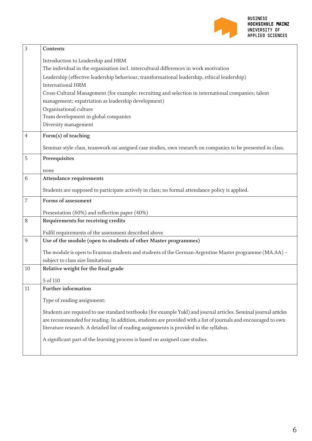

| 3  | Contents                                                                                                          |
|----|-------------------------------------------------------------------------------------------------------------------|
|    | Introduction to Leadership and HRM                                                                                |
|    | The individual in the organisation incl. intercultural differences in work motivation                             |
|    | Leadership (effective leadership behaviour, transformational leadership, ethical leadership)                      |
|    | <b>International HRM</b>                                                                                          |
|    | Cross-Cultural Management (for example: recruiting and selection in international companies; talent               |
|    | management; expatriation as leadership development)                                                               |
|    | Organisational culture<br>Team development in global companies                                                    |
|    | Diversity management                                                                                              |
|    |                                                                                                                   |
| 4  | Form(s) of teaching                                                                                               |
|    | Seminar-style class, teamwork on assigned case studies, own research on companies to be presented in class.       |
| 5  | Prerequisites                                                                                                     |
|    | none                                                                                                              |
| 6  | <b>Attendance requirements</b>                                                                                    |
|    | Students are supposed to participate actively in class; no formal attendance policy is applied.                   |
| 7  | Forms of assessment                                                                                               |
|    |                                                                                                                   |
|    | Presentation (60%) and reflection paper (40%)                                                                     |
| 8  | Requirements for receiving credits                                                                                |
|    | Fulfil requirements of the assessment described above                                                             |
| 9  | Use of the module (open to students of other Master programmes)                                                   |
|    | The module is open to Erasmus students and students of the German-Argentine Master programme (MA.AA) -            |
|    | subject to class size limitations                                                                                 |
| 10 | Relative weight for the final grade                                                                               |
|    | 5 of 110                                                                                                          |
| 11 | <b>Further information</b>                                                                                        |
|    | Type of reading assignment:                                                                                       |
|    | Students are required to use standard textbooks (for example Yukl) and journal articles. Seminal journal articles |
|    | are recommended for reading. In addition, students are provided with a list of journals and encouraged to own     |
|    | literature research. A detailed list of reading assignments is provided in the syllabus.                          |
|    |                                                                                                                   |
|    | A significant part of the learning process is based on assigned case studies.                                     |
|    |                                                                                                                   |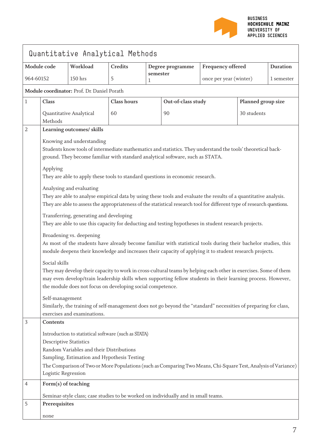

| Quantitative Analytical Methods |                                                                                                                                                                                                                                                                                                                                                                                                                                                                                                                                                                                                                                                                                                                                                                                                                                                                                                                                                                                                                                      |                                                                                                                                                 |                    |               |                    |                        |                                                                                                                                                                                                                                  |                 |
|---------------------------------|--------------------------------------------------------------------------------------------------------------------------------------------------------------------------------------------------------------------------------------------------------------------------------------------------------------------------------------------------------------------------------------------------------------------------------------------------------------------------------------------------------------------------------------------------------------------------------------------------------------------------------------------------------------------------------------------------------------------------------------------------------------------------------------------------------------------------------------------------------------------------------------------------------------------------------------------------------------------------------------------------------------------------------------|-------------------------------------------------------------------------------------------------------------------------------------------------|--------------------|---------------|--------------------|------------------------|----------------------------------------------------------------------------------------------------------------------------------------------------------------------------------------------------------------------------------|-----------------|
| Module code                     |                                                                                                                                                                                                                                                                                                                                                                                                                                                                                                                                                                                                                                                                                                                                                                                                                                                                                                                                                                                                                                      | Workload                                                                                                                                        | <b>Credits</b>     |               | Degree programme   | Frequency offered      |                                                                                                                                                                                                                                  | <b>Duration</b> |
| 964-60152                       |                                                                                                                                                                                                                                                                                                                                                                                                                                                                                                                                                                                                                                                                                                                                                                                                                                                                                                                                                                                                                                      | 150 hrs                                                                                                                                         | 5                  | semester<br>1 |                    | once per year (winter) |                                                                                                                                                                                                                                  | 1 semester      |
|                                 |                                                                                                                                                                                                                                                                                                                                                                                                                                                                                                                                                                                                                                                                                                                                                                                                                                                                                                                                                                                                                                      | Module coordinator: Prof. Dr. Daniel Porath                                                                                                     |                    |               |                    |                        |                                                                                                                                                                                                                                  |                 |
| 1                               | Class                                                                                                                                                                                                                                                                                                                                                                                                                                                                                                                                                                                                                                                                                                                                                                                                                                                                                                                                                                                                                                |                                                                                                                                                 | <b>Class hours</b> |               | Out-of-class study |                        | Planned group size                                                                                                                                                                                                               |                 |
|                                 | Methods                                                                                                                                                                                                                                                                                                                                                                                                                                                                                                                                                                                                                                                                                                                                                                                                                                                                                                                                                                                                                              | Quantitative Analytical                                                                                                                         | 60                 |               | 90                 |                        | 30 students                                                                                                                                                                                                                      |                 |
| 2                               |                                                                                                                                                                                                                                                                                                                                                                                                                                                                                                                                                                                                                                                                                                                                                                                                                                                                                                                                                                                                                                      | Learning outcomes/ skills                                                                                                                       |                    |               |                    |                        |                                                                                                                                                                                                                                  |                 |
|                                 | Knowing and understanding<br>Students know tools of intermediate mathematics and statistics. They understand the tools' theoretical back-<br>ground. They become familiar with standard analytical software, such as STATA.<br>Applying<br>They are able to apply these tools to standard questions in economic research.<br>Analysing and evaluating<br>They are able to analyse empirical data by using these tools and evaluate the results of a quantitative analysis.<br>They are able to assess the appropriateness of the statistical research tool for different type of research questions.<br>Transferring, generating and developing<br>They are able to use this capacity for deducting and testing hypotheses in student research projects.<br>Broadening vs. deepening<br>As most of the students have already become familiar with statistical tools during their bachelor studies, this<br>module deepens their knowledge and increases their capacity of applying it to student research projects.<br>Social skills |                                                                                                                                                 |                    |               |                    |                        | They may develop their capacity to work in cross-cultural teams by helping each other in exercises. Some of them<br>may even develop/train leadership skills when supporting fellow students in their learning process. However, |                 |
|                                 | Self-management                                                                                                                                                                                                                                                                                                                                                                                                                                                                                                                                                                                                                                                                                                                                                                                                                                                                                                                                                                                                                      | the module does not focus on developing social competence.                                                                                      |                    |               |                    |                        |                                                                                                                                                                                                                                  |                 |
|                                 |                                                                                                                                                                                                                                                                                                                                                                                                                                                                                                                                                                                                                                                                                                                                                                                                                                                                                                                                                                                                                                      | Similarly, the training of self-management does not go beyond the "standard" necessities of preparing for class,<br>exercises and examinations. |                    |               |                    |                        |                                                                                                                                                                                                                                  |                 |
| 3                               | Contents                                                                                                                                                                                                                                                                                                                                                                                                                                                                                                                                                                                                                                                                                                                                                                                                                                                                                                                                                                                                                             |                                                                                                                                                 |                    |               |                    |                        |                                                                                                                                                                                                                                  |                 |
|                                 | Introduction to statistical software (such as STATA)<br><b>Descriptive Statistics</b><br>Random Variables and their Distributions<br>Sampling, Estimation and Hypothesis Testing<br>The Comparison of Two or More Populations (such as Comparing Two Means, Chi-Square Test, Analysis of Variance)<br>Logistic Regression                                                                                                                                                                                                                                                                                                                                                                                                                                                                                                                                                                                                                                                                                                            |                                                                                                                                                 |                    |               |                    |                        |                                                                                                                                                                                                                                  |                 |
| $\overline{4}$                  | Form(s) of teaching                                                                                                                                                                                                                                                                                                                                                                                                                                                                                                                                                                                                                                                                                                                                                                                                                                                                                                                                                                                                                  |                                                                                                                                                 |                    |               |                    |                        |                                                                                                                                                                                                                                  |                 |
|                                 |                                                                                                                                                                                                                                                                                                                                                                                                                                                                                                                                                                                                                                                                                                                                                                                                                                                                                                                                                                                                                                      | Seminar-style class; case studies to be worked on individually and in small teams.                                                              |                    |               |                    |                        |                                                                                                                                                                                                                                  |                 |
| 5                               | Prerequisites                                                                                                                                                                                                                                                                                                                                                                                                                                                                                                                                                                                                                                                                                                                                                                                                                                                                                                                                                                                                                        |                                                                                                                                                 |                    |               |                    |                        |                                                                                                                                                                                                                                  |                 |
|                                 | none                                                                                                                                                                                                                                                                                                                                                                                                                                                                                                                                                                                                                                                                                                                                                                                                                                                                                                                                                                                                                                 |                                                                                                                                                 |                    |               |                    |                        |                                                                                                                                                                                                                                  |                 |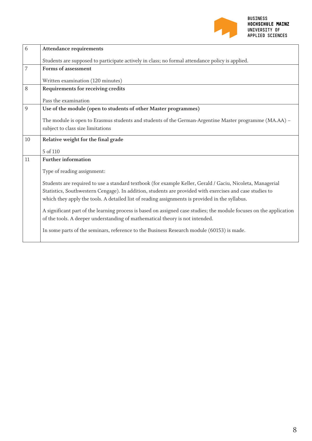

| 6              | <b>Attendance requirements</b>                                                                                      |
|----------------|---------------------------------------------------------------------------------------------------------------------|
|                | Students are supposed to participate actively in class; no formal attendance policy is applied.                     |
| $\overline{7}$ | Forms of assessment                                                                                                 |
|                | Written examination (120 minutes)                                                                                   |
| 8              | Requirements for receiving credits                                                                                  |
|                | Pass the examination                                                                                                |
| 9              | Use of the module (open to students of other Master programmes)                                                     |
|                | The module is open to Erasmus students and students of the German-Argentine Master programme (MA.AA) -              |
|                | subject to class size limitations                                                                                   |
| 10             | Relative weight for the final grade                                                                                 |
|                | 5 of 110                                                                                                            |
| 11             | <b>Further information</b>                                                                                          |
|                | Type of reading assignment:                                                                                         |
|                | Students are required to use a standard textbook (for example Keller, Gerald / Gaciu, Nicoleta, Managerial          |
|                | Statistics, Southwestern Cengage). In addition, students are provided with exercises and case studies to            |
|                | which they apply the tools. A detailed list of reading assignments is provided in the syllabus.                     |
|                | A significant part of the learning process is based on assigned case studies; the module focuses on the application |
|                | of the tools. A deeper understanding of mathematical theory is not intended.                                        |
|                | In some parts of the seminars, reference to the Business Research module (60153) is made.                           |
|                |                                                                                                                     |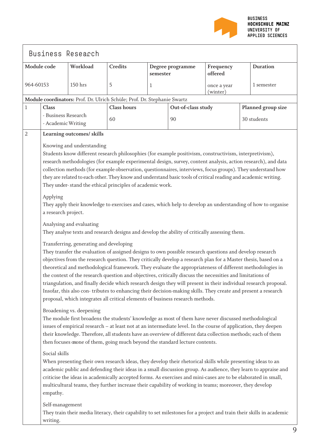

|                | Workload<br>Module code                   |                                                                     | <b>Credits</b>                                                                                                                                                                                                                                                                                                                                                                                                                                                                                                                                                                                                                                                                                                                                                               | semester     | Degree programme   | Frequency<br>offered    | <b>Duration</b> |                    |
|----------------|-------------------------------------------|---------------------------------------------------------------------|------------------------------------------------------------------------------------------------------------------------------------------------------------------------------------------------------------------------------------------------------------------------------------------------------------------------------------------------------------------------------------------------------------------------------------------------------------------------------------------------------------------------------------------------------------------------------------------------------------------------------------------------------------------------------------------------------------------------------------------------------------------------------|--------------|--------------------|-------------------------|-----------------|--------------------|
| 964-60153      |                                           | 150 hrs                                                             | 5                                                                                                                                                                                                                                                                                                                                                                                                                                                                                                                                                                                                                                                                                                                                                                            | $\mathbf{1}$ |                    | once a year<br>(winter) |                 | 1 semester         |
|                |                                           |                                                                     | Module coordinators: Prof. Dr. Ulrich Schüle; Prof. Dr. Stephanie Swartz                                                                                                                                                                                                                                                                                                                                                                                                                                                                                                                                                                                                                                                                                                     |              |                    |                         |                 |                    |
| $\mathbf{1}$   | Class                                     |                                                                     | <b>Class hours</b>                                                                                                                                                                                                                                                                                                                                                                                                                                                                                                                                                                                                                                                                                                                                                           |              | Out-of-class study |                         |                 | Planned group size |
|                | - Business Research<br>- Academic Writing |                                                                     | 60                                                                                                                                                                                                                                                                                                                                                                                                                                                                                                                                                                                                                                                                                                                                                                           |              | 90                 |                         |                 | 30 students        |
| $\overline{2}$ |                                           | Learning outcomes/ skills                                           |                                                                                                                                                                                                                                                                                                                                                                                                                                                                                                                                                                                                                                                                                                                                                                              |              |                    |                         |                 |                    |
|                | Applying                                  | Knowing and understanding                                           | Students know different research philosophies (for example positivism, constructivism, interpretivism),<br>research methodologies (for example experimental design, survey, content analysis, action research), and data<br>collection methods (for example observation, questionnaires, interviews, focus groups). They understand how<br>they are related to each other. They know and understand basic tools of critical reading and academic writing.<br>They under-stand the ethical principles of academic work.<br>They apply their knowledge to exercises and cases, which help to develop an understanding of how to organise                                                                                                                                       |              |                    |                         |                 |                    |
|                | a research project.                       | Analysing and evaluating<br>Transferring, generating and developing | They analyse texts and research designs and develop the ability of critically assessing them.                                                                                                                                                                                                                                                                                                                                                                                                                                                                                                                                                                                                                                                                                |              |                    |                         |                 |                    |
|                |                                           |                                                                     | They transfer the evaluation of assigned designs to own possible research questions and develop research<br>objectives from the research question. They critically develop a research plan for a Master thesis, based on a<br>theoretical and methodological framework. They evaluate the appropriateness of different methodologies in<br>the context of the research question and objectives, critically discuss the necessities and limitations of<br>triangulation, and finally decide which research design they will present in their individual research proposal.<br>Insofar, this also con-tributes to enhancing their decision-making skills. They create and present a research<br>proposal, which integrates all critical elements of business research methods. |              |                    |                         |                 |                    |
|                |                                           | Broadening vs. deepening                                            | The module first broadens the students' knowledge as most of them have never discussed methodological<br>issues of empirical research - at least not at an intermediate level. In the course of application, they deepen<br>their knowledge. Therefore, all students have an overview of different data collection methods; each of them<br>then focuses onone of them, going much beyond the standard lecture contents.                                                                                                                                                                                                                                                                                                                                                     |              |                    |                         |                 |                    |
|                | Social skills<br>empathy.                 |                                                                     | When presenting their own research ideas, they develop their rhetorical skills while presenting ideas to an<br>academic public and defending their ideas in a small discussion group. As audience, they learn to appraise and<br>criticise the ideas in academically accepted forms. As exercises and mini-cases are to be elaborated in small,<br>multicultural teams, they further increase their capability of working in teams; moreover, they develop                                                                                                                                                                                                                                                                                                                   |              |                    |                         |                 |                    |
|                | Self-management<br>writing.               |                                                                     | They train their media literacy, their capability to set milestones for a project and train their skills in academic                                                                                                                                                                                                                                                                                                                                                                                                                                                                                                                                                                                                                                                         |              |                    |                         |                 |                    |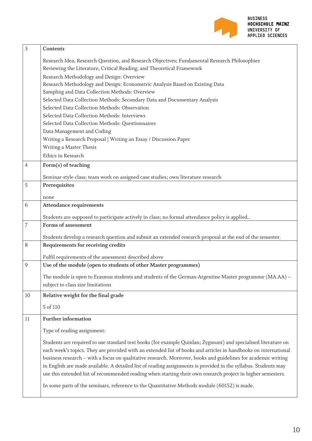

| $\overline{3}$   | Contents                                                                                                                                                                                                                         |
|------------------|----------------------------------------------------------------------------------------------------------------------------------------------------------------------------------------------------------------------------------|
|                  | Research Idea, Research Question, and Research Objectives; Fundamental Research Philosophies                                                                                                                                     |
|                  | Reviewing the Literature, Critical Reading, and Theoretical Framework                                                                                                                                                            |
|                  | Research Methodology and Design: Overview                                                                                                                                                                                        |
|                  | Research Methodology and Design: Econometric Analysis Based on Existing Data                                                                                                                                                     |
|                  | Sampling and Data Collection Methods: Overview                                                                                                                                                                                   |
|                  | Selected Data Collection Methods: Secondary Data and Documentary Analysis                                                                                                                                                        |
|                  | Selected Data Collection Methods: Observation                                                                                                                                                                                    |
|                  | Selected Data Collection Methods: Interviews                                                                                                                                                                                     |
|                  | Selected Data Collection Methods: Questionnaires                                                                                                                                                                                 |
|                  | Data Management and Coding                                                                                                                                                                                                       |
|                  | Writing a Research Proposal   Writing an Essay / Discussion Paper                                                                                                                                                                |
|                  | Writing a Master Thesis                                                                                                                                                                                                          |
|                  | Ethics in Research                                                                                                                                                                                                               |
| $\overline{4}$   | Form(s) of teaching                                                                                                                                                                                                              |
|                  | Seminar-style class; team work on assigned case studies; own literature research                                                                                                                                                 |
| 5                | Prerequisites                                                                                                                                                                                                                    |
|                  | none                                                                                                                                                                                                                             |
| 6                | <b>Attendance requirements</b>                                                                                                                                                                                                   |
|                  | Students are supposed to participate actively in class; no formal attendance policy is applied                                                                                                                                   |
| $\boldsymbol{7}$ | Forms of assessment                                                                                                                                                                                                              |
|                  | Students develop a research question and submit an extended research proposal at the end of the semester.                                                                                                                        |
| $8\,$            | Requirements for receiving credits                                                                                                                                                                                               |
|                  | Fulfil requirements of the assessment described above                                                                                                                                                                            |
| 9                | Use of the module (open to students of other Master programmes)                                                                                                                                                                  |
|                  | The module is open to Erasmus students and students of the German-Argentine Master programme (MA.AA) -                                                                                                                           |
|                  | subject to class size limitations                                                                                                                                                                                                |
| 10               | Relative weight for the final grade                                                                                                                                                                                              |
|                  | 5 of 110                                                                                                                                                                                                                         |
| 11               | <b>Further information</b>                                                                                                                                                                                                       |
|                  | Type of reading assignment:                                                                                                                                                                                                      |
|                  |                                                                                                                                                                                                                                  |
|                  | Students are required to use standard text books (for example Quinlan; Zygmunt) and specialised literature on<br>each week's topics. They are provided with an extended list of books and articles in handbooks on international |
|                  | business research - with a focus on qualitative research. Moreover, books and guidelines for academic writing                                                                                                                    |
|                  | in English are made available. A detailed list of reading assignments is provided in the syllabus. Students may                                                                                                                  |
|                  | use this extended list of recommended reading when starting their own research project in higher semesters.                                                                                                                      |
|                  |                                                                                                                                                                                                                                  |
|                  | In some parts of the seminars, reference to the Quantitative Methods module (60152) is made.                                                                                                                                     |
|                  |                                                                                                                                                                                                                                  |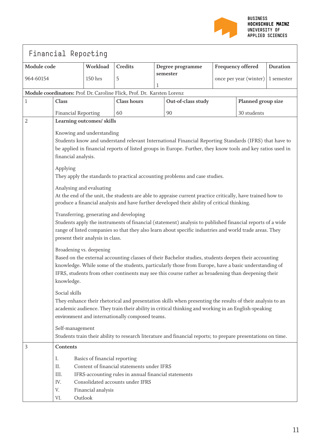

|                         | Financial Reporting                                                                                                                                                                                                                                                                                                                                                                                                                                                                                                                                                                                                                                                                                                                                                                                                                                                                                                                                         |                               |                                                                                                                                        |                    |                                                                                                                                                                                                           |                                   |                   |                 |  |  |  |
|-------------------------|-------------------------------------------------------------------------------------------------------------------------------------------------------------------------------------------------------------------------------------------------------------------------------------------------------------------------------------------------------------------------------------------------------------------------------------------------------------------------------------------------------------------------------------------------------------------------------------------------------------------------------------------------------------------------------------------------------------------------------------------------------------------------------------------------------------------------------------------------------------------------------------------------------------------------------------------------------------|-------------------------------|----------------------------------------------------------------------------------------------------------------------------------------|--------------------|-----------------------------------------------------------------------------------------------------------------------------------------------------------------------------------------------------------|-----------------------------------|-------------------|-----------------|--|--|--|
| Module code<br>Workload |                                                                                                                                                                                                                                                                                                                                                                                                                                                                                                                                                                                                                                                                                                                                                                                                                                                                                                                                                             |                               | Credits                                                                                                                                |                    | Degree programme                                                                                                                                                                                          |                                   | Frequency offered | <b>Duration</b> |  |  |  |
| 150 hrs<br>964-60154    |                                                                                                                                                                                                                                                                                                                                                                                                                                                                                                                                                                                                                                                                                                                                                                                                                                                                                                                                                             |                               | 5                                                                                                                                      | 1                  | semester                                                                                                                                                                                                  | once per year (winter) 1 semester |                   |                 |  |  |  |
|                         |                                                                                                                                                                                                                                                                                                                                                                                                                                                                                                                                                                                                                                                                                                                                                                                                                                                                                                                                                             |                               | Module coordinators: Prof. Dr. Caroline Flick, Prof. Dr. Karsten Lorenz                                                                |                    |                                                                                                                                                                                                           |                                   |                   |                 |  |  |  |
| $\mathbf{1}$            | Class                                                                                                                                                                                                                                                                                                                                                                                                                                                                                                                                                                                                                                                                                                                                                                                                                                                                                                                                                       | <b>Class hours</b>            |                                                                                                                                        | Out-of-class study |                                                                                                                                                                                                           | Planned group size                |                   |                 |  |  |  |
|                         | <b>Financial Reporting</b>                                                                                                                                                                                                                                                                                                                                                                                                                                                                                                                                                                                                                                                                                                                                                                                                                                                                                                                                  |                               | 60                                                                                                                                     |                    | 90                                                                                                                                                                                                        | 30 students                       |                   |                 |  |  |  |
| 2                       | Learning outcomes/ skills                                                                                                                                                                                                                                                                                                                                                                                                                                                                                                                                                                                                                                                                                                                                                                                                                                                                                                                                   |                               |                                                                                                                                        |                    |                                                                                                                                                                                                           |                                   |                   |                 |  |  |  |
|                         |                                                                                                                                                                                                                                                                                                                                                                                                                                                                                                                                                                                                                                                                                                                                                                                                                                                                                                                                                             | Knowing and understanding     |                                                                                                                                        |                    |                                                                                                                                                                                                           |                                   |                   |                 |  |  |  |
|                         |                                                                                                                                                                                                                                                                                                                                                                                                                                                                                                                                                                                                                                                                                                                                                                                                                                                                                                                                                             |                               |                                                                                                                                        |                    | Students know and understand relevant International Financial Reporting Standards (IFRS) that have to                                                                                                     |                                   |                   |                 |  |  |  |
|                         |                                                                                                                                                                                                                                                                                                                                                                                                                                                                                                                                                                                                                                                                                                                                                                                                                                                                                                                                                             |                               |                                                                                                                                        |                    | be applied in financial reports of listed groups in Europe. Further, they know tools and key ratios used in                                                                                               |                                   |                   |                 |  |  |  |
|                         | financial analysis.                                                                                                                                                                                                                                                                                                                                                                                                                                                                                                                                                                                                                                                                                                                                                                                                                                                                                                                                         |                               |                                                                                                                                        |                    |                                                                                                                                                                                                           |                                   |                   |                 |  |  |  |
|                         | Applying                                                                                                                                                                                                                                                                                                                                                                                                                                                                                                                                                                                                                                                                                                                                                                                                                                                                                                                                                    |                               |                                                                                                                                        |                    |                                                                                                                                                                                                           |                                   |                   |                 |  |  |  |
|                         |                                                                                                                                                                                                                                                                                                                                                                                                                                                                                                                                                                                                                                                                                                                                                                                                                                                                                                                                                             |                               |                                                                                                                                        |                    | They apply the standards to practical accounting problems and case studies.                                                                                                                               |                                   |                   |                 |  |  |  |
|                         |                                                                                                                                                                                                                                                                                                                                                                                                                                                                                                                                                                                                                                                                                                                                                                                                                                                                                                                                                             | Analysing and evaluating      |                                                                                                                                        |                    |                                                                                                                                                                                                           |                                   |                   |                 |  |  |  |
|                         |                                                                                                                                                                                                                                                                                                                                                                                                                                                                                                                                                                                                                                                                                                                                                                                                                                                                                                                                                             |                               |                                                                                                                                        |                    | At the end of the unit, the students are able to appraise current practice critically, have trained how to<br>produce a financial analysis and have further developed their ability of critical thinking. |                                   |                   |                 |  |  |  |
|                         | Transferring, generating and developing<br>Students apply the instruments of financial (statement) analysis to published financial reports of a wide<br>range of listed companies so that they also learn about specific industries and world trade areas. They<br>present their analysis in class.<br>Broadening vs. deepening<br>Based on the external accounting classes of their Bachelor studies, students deepen their accounting<br>knowledge. While some of the students, particularly those from Europe, have a basic understanding of<br>IFRS, students from other continents may see this course rather as broadening than deepening their<br>knowledge.<br>Social skills<br>They enhance their rhetorical and presentation skills when presenting the results of their analysis to an<br>academic audience. They train their ability in critical thinking and working in an English-speaking<br>environment and internationally composed teams. |                               |                                                                                                                                        |                    |                                                                                                                                                                                                           |                                   |                   |                 |  |  |  |
|                         | Self-management<br>Students train their ability to research literature and financial reports; to prepare presentations on time.                                                                                                                                                                                                                                                                                                                                                                                                                                                                                                                                                                                                                                                                                                                                                                                                                             |                               |                                                                                                                                        |                    |                                                                                                                                                                                                           |                                   |                   |                 |  |  |  |
| 3                       | Contents                                                                                                                                                                                                                                                                                                                                                                                                                                                                                                                                                                                                                                                                                                                                                                                                                                                                                                                                                    |                               |                                                                                                                                        |                    |                                                                                                                                                                                                           |                                   |                   |                 |  |  |  |
|                         | Ι.<br>ΙΙ.<br>III.<br>IV.                                                                                                                                                                                                                                                                                                                                                                                                                                                                                                                                                                                                                                                                                                                                                                                                                                                                                                                                    | Basics of financial reporting | Content of financial statements under IFRS<br>IFRS-accounting rules in annual financial statements<br>Consolidated accounts under IFRS |                    |                                                                                                                                                                                                           |                                   |                   |                 |  |  |  |
|                         | V.                                                                                                                                                                                                                                                                                                                                                                                                                                                                                                                                                                                                                                                                                                                                                                                                                                                                                                                                                          | Financial analysis            |                                                                                                                                        |                    |                                                                                                                                                                                                           |                                   |                   |                 |  |  |  |
|                         | VI.                                                                                                                                                                                                                                                                                                                                                                                                                                                                                                                                                                                                                                                                                                                                                                                                                                                                                                                                                         | Outlook                       |                                                                                                                                        |                    |                                                                                                                                                                                                           |                                   |                   |                 |  |  |  |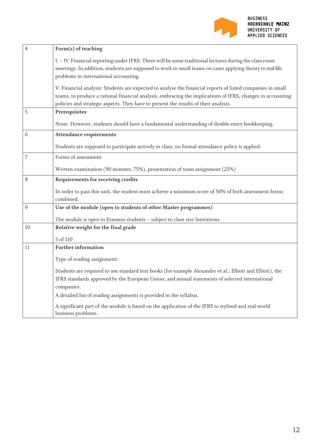

| $\overline{4}$ | Form(s) of teaching                                                                                                                                                                                                                                                                                             |
|----------------|-----------------------------------------------------------------------------------------------------------------------------------------------------------------------------------------------------------------------------------------------------------------------------------------------------------------|
|                | I. - IV. Financial reporting under IFRS: There will be some traditional lectures during the class room<br>meetings. In addition, students are supposed to work in small teams on cases applying theory to real-life<br>problems in international accounting.                                                    |
|                | V. Financial analysis: Students are expected to analyse the financial reports of listed companies in small<br>teams, to produce a rational financial analysis, embracing the implications of IFRS, changes in accounting<br>policies and strategic aspects. They have to present the results of their analysis. |
| 5              | Prerequisites                                                                                                                                                                                                                                                                                                   |
|                | None. However, students should have a fundamental understanding of double-entry bookkeeping.                                                                                                                                                                                                                    |
| 6              | <b>Attendance requirements</b>                                                                                                                                                                                                                                                                                  |
|                | Students are supposed to participate actively in class; no formal attendance policy is applied.                                                                                                                                                                                                                 |
| 7              | Forms of assessment                                                                                                                                                                                                                                                                                             |
|                | Written examination (90 minutes, 75%), presentation of team assignment (25%)                                                                                                                                                                                                                                    |
| 8              | Requirements for receiving credits                                                                                                                                                                                                                                                                              |
|                | In order to pass this unit, the student must achieve a minimum score of 50% of both assessment forms<br>combined.                                                                                                                                                                                               |
| 9              | Use of the module (open to students of other Master programmes)                                                                                                                                                                                                                                                 |
|                | The module is open to Erasmus students - subject to class size limitations                                                                                                                                                                                                                                      |
| 10             | Relative weight for the final grade                                                                                                                                                                                                                                                                             |
|                | 5 of 110                                                                                                                                                                                                                                                                                                        |
| 11             | <b>Further information</b>                                                                                                                                                                                                                                                                                      |
|                | Type of reading assignment:                                                                                                                                                                                                                                                                                     |
|                | Students are required to use standard text books (for example Alexander et al.; Elliott and Elliott), the<br>IFRS standards approved by the European Union; and annual statements of selected international<br>companies.                                                                                       |
|                | A detailed list of reading assignments is provided in the syllabus.                                                                                                                                                                                                                                             |
|                | A significant part of the module is based on the application of the IFRS to stylised and real-world<br>business problems.                                                                                                                                                                                       |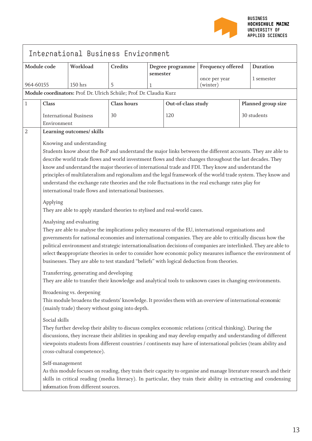

| International Business Environment |                                                                                                                                                                                                                                                                                                                                                                                                                                                                                                                                                                                                                                                                                                                                             |                                                                      |                    |                  |                    |                           |             |                    |
|------------------------------------|---------------------------------------------------------------------------------------------------------------------------------------------------------------------------------------------------------------------------------------------------------------------------------------------------------------------------------------------------------------------------------------------------------------------------------------------------------------------------------------------------------------------------------------------------------------------------------------------------------------------------------------------------------------------------------------------------------------------------------------------|----------------------------------------------------------------------|--------------------|------------------|--------------------|---------------------------|-------------|--------------------|
| Module code                        |                                                                                                                                                                                                                                                                                                                                                                                                                                                                                                                                                                                                                                                                                                                                             | Workload                                                             | Credits            | Degree programme |                    | Frequency offered         |             | <b>Duration</b>    |
| 964-60155                          |                                                                                                                                                                                                                                                                                                                                                                                                                                                                                                                                                                                                                                                                                                                                             | 150 hrs                                                              | 5                  | semester<br>1    |                    | once per year<br>(winter) |             | 1 semester         |
|                                    |                                                                                                                                                                                                                                                                                                                                                                                                                                                                                                                                                                                                                                                                                                                                             | Module coordinators: Prof. Dr. Ulrich Schüle; Prof. Dr. Claudia Kurz |                    |                  |                    |                           |             |                    |
| 1                                  | <b>Class</b>                                                                                                                                                                                                                                                                                                                                                                                                                                                                                                                                                                                                                                                                                                                                |                                                                      | <b>Class hours</b> |                  | Out-of-class study |                           |             | Planned group size |
|                                    | Environment                                                                                                                                                                                                                                                                                                                                                                                                                                                                                                                                                                                                                                                                                                                                 | <b>International Business</b>                                        | 30                 |                  | 120                |                           | 30 students |                    |
| $\overline{2}$                     |                                                                                                                                                                                                                                                                                                                                                                                                                                                                                                                                                                                                                                                                                                                                             | Learning outcomes/ skills                                            |                    |                  |                    |                           |             |                    |
|                                    | Knowing and understanding<br>Students know about the BoP and understand the major links between the different accounts. They are able to<br>describe world trade flows and world investment flows and their changes throughout the last decades. They<br>know and understand the major theories of international trade and FDI. They know and understand the<br>principles of multilateralism and regionalism and the legal framework of the world trade system. They know and<br>understand the exchange rate theories and the role fluctuations in the real exchange rates play for<br>international trade flows and international businesses.<br>Applying<br>They are able to apply standard theories to stylised and real-world cases.  |                                                                      |                    |                  |                    |                           |             |                    |
|                                    | Analysing and evaluating<br>They are able to analyse the implications policy measures of the EU, international organisations and<br>governments for national economies and international companies. They are able to critically discuss how the<br>political environment and strategic internationalisation decisions of companies are interlinked. They are able to<br>select theappropriate theories in order to consider how economic policy measures influence the environment of<br>businesses. They are able to test standard "beliefs" with logical deduction from theories.<br>Transferring, generating and developing<br>They are able to transfer their knowledge and analytical tools to unknown cases in changing environments. |                                                                      |                    |                  |                    |                           |             |                    |
|                                    | Broadening vs. deepening<br>This module broadens the students' knowledge. It provides them with an overview of international economic<br>(mainly trade) theory without going into depth.<br>Social skills<br>They further develop their ability to discuss complex economic relations (critical thinking). During the<br>discussions, they increase their abilities in speaking and may develop empathy and understanding of different<br>viewpoints students from different countries / continents may have of international policies (team ability and<br>cross-cultural competence).                                                                                                                                                     |                                                                      |                    |                  |                    |                           |             |                    |
|                                    | Self-management<br>As this module focuses on reading, they train their capacity to organise and manage literature research and their<br>skills in critical reading (media literacy). In particular, they train their ability in extracting and condensing<br>information from different sources.                                                                                                                                                                                                                                                                                                                                                                                                                                            |                                                                      |                    |                  |                    |                           |             |                    |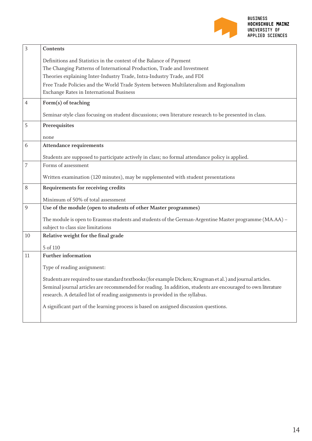

| $\overline{3}$ | Contents                                                                                                     |
|----------------|--------------------------------------------------------------------------------------------------------------|
|                | Definitions and Statistics in the context of the Balance of Payment                                          |
|                | The Changing Patterns of International Production, Trade and Investment                                      |
|                | Theories explaining Inter-Industry Trade, Intra-Industry Trade, and FDI                                      |
|                | Free Trade Policies and the World Trade System between Multilateralism and Regionalism                       |
|                | Exchange Rates in International Business                                                                     |
| $\overline{4}$ | Form(s) of teaching                                                                                          |
|                | Seminar-style class focusing on student discussions; own literature research to be presented in class.       |
| 5              | Prerequisites                                                                                                |
|                | none                                                                                                         |
| 6              | <b>Attendance requirements</b>                                                                               |
|                | Students are supposed to participate actively in class; no formal attendance policy is applied.              |
| 7              | Forms of assessment                                                                                          |
|                | Written examination (120 minutes), may be supplemented with student presentations                            |
| $8\,$          | Requirements for receiving credits                                                                           |
|                | Minimum of 50% of total assessment                                                                           |
| 9              | Use of the module (open to students of other Master programmes)                                              |
|                | The module is open to Erasmus students and students of the German-Argentine Master programme (MA.AA) -       |
|                | subject to class size limitations                                                                            |
| 10             | Relative weight for the final grade                                                                          |
|                | 5 of 110                                                                                                     |
| 11             | <b>Further information</b>                                                                                   |
|                | Type of reading assignment:                                                                                  |
|                | Students are required to use standard textbooks (for example Dicken; Krugman et al.) and journal articles.   |
|                | Seminal journal articles are recommended for reading. In addition, students are encouraged to own literature |
|                | research. A detailed list of reading assignments is provided in the syllabus.                                |
|                | A significant part of the learning process is based on assigned discussion questions.                        |
|                |                                                                                                              |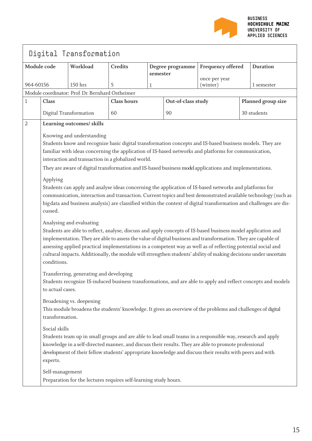

| Digital Transformation |                                                                                                                                                                                                                                                                                                                                                                                                                                                                                                              |                                                  |                    |   |                    |                           |                    |             |
|------------------------|--------------------------------------------------------------------------------------------------------------------------------------------------------------------------------------------------------------------------------------------------------------------------------------------------------------------------------------------------------------------------------------------------------------------------------------------------------------------------------------------------------------|--------------------------------------------------|--------------------|---|--------------------|---------------------------|--------------------|-------------|
|                        | Module code<br>Workload<br>Credits<br>Degree programme<br>semester                                                                                                                                                                                                                                                                                                                                                                                                                                           |                                                  | Frequency offered  |   | <b>Duration</b>    |                           |                    |             |
| 964-60156              |                                                                                                                                                                                                                                                                                                                                                                                                                                                                                                              | 150 hrs                                          | 5                  | 1 |                    | once per year<br>(winter) |                    | 1 semester  |
|                        |                                                                                                                                                                                                                                                                                                                                                                                                                                                                                                              | Module coordinator: Prof. Dr. Bernhard Ostheimer |                    |   |                    |                           |                    |             |
| 1                      | <b>Class</b>                                                                                                                                                                                                                                                                                                                                                                                                                                                                                                 |                                                  | <b>Class hours</b> |   | Out-of-class study |                           | Planned group size |             |
|                        |                                                                                                                                                                                                                                                                                                                                                                                                                                                                                                              | Digital Transformation                           | 60                 |   | 90                 |                           |                    | 30 students |
| $\overline{2}$         |                                                                                                                                                                                                                                                                                                                                                                                                                                                                                                              | Learning outcomes/ skills                        |                    |   |                    |                           |                    |             |
|                        | Knowing and understanding<br>Students know and recognize basic digital transformation concepts and IS-based business models. They are<br>familiar with ideas concerning the application of IS-based networks and platforms for communication,<br>interaction and transaction in a globalized world.<br>They are aware of digital transformation and IS-based business model applications and implementations.                                                                                                |                                                  |                    |   |                    |                           |                    |             |
|                        | Applying<br>Students can apply and analyse ideas concerning the application of IS-based networks and platforms for<br>communication, interaction and transaction. Current topics and best demonstrated available technology (such as<br>bigdata and business analysis) are classified within the context of digital transformation and challenges are dis-<br>cussed.                                                                                                                                        |                                                  |                    |   |                    |                           |                    |             |
|                        | Analysing and evaluating<br>Students are able to reflect, analyse, discuss and apply concepts of IS-based business model application and<br>implementation. They are able to assess the value of digital business and transformation. They are capable of<br>assessing applied practical implementations in a competent way as well as of reflecting potential social and<br>cultural impacts. Additionally, the module will strengthen students' ability of making decisions under uncertain<br>conditions. |                                                  |                    |   |                    |                           |                    |             |
|                        | Transferring, generating and developing<br>Students recognize IS-induced business transformations, and are able to apply and reflect concepts and models<br>to actual cases.                                                                                                                                                                                                                                                                                                                                 |                                                  |                    |   |                    |                           |                    |             |
|                        | Broadening vs. deepening<br>This module broadens the students' knowledge. It gives an overview of the problems and challenges of digital<br>transformation.                                                                                                                                                                                                                                                                                                                                                  |                                                  |                    |   |                    |                           |                    |             |
|                        | Social skills<br>Students team up in small groups and are able to lead small teams in a responsible way, research and apply<br>knowledge in a self-directed manner, and discuss their results. They are able to promote professional<br>development of their fellow students' appropriate knowledge and discuss their results with peers and with<br>experts.                                                                                                                                                |                                                  |                    |   |                    |                           |                    |             |
|                        | Self-management<br>Preparation for the lectures requires self-learning study hours.                                                                                                                                                                                                                                                                                                                                                                                                                          |                                                  |                    |   |                    |                           |                    |             |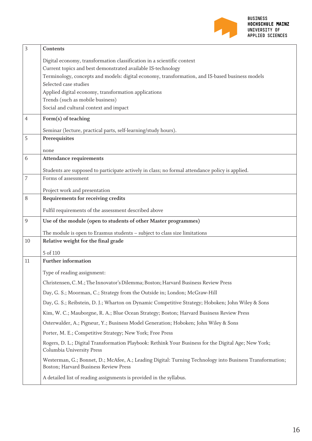

| 3  | Contents                                                                                                                                          |  |  |  |  |  |  |  |
|----|---------------------------------------------------------------------------------------------------------------------------------------------------|--|--|--|--|--|--|--|
|    | Digital economy, transformation classification in a scientific context                                                                            |  |  |  |  |  |  |  |
|    | Current topics and best demonstrated available IS-technology                                                                                      |  |  |  |  |  |  |  |
|    | Terminology, concepts and models: digital economy, transformation, and IS-based business models                                                   |  |  |  |  |  |  |  |
|    | Selected case studies                                                                                                                             |  |  |  |  |  |  |  |
|    | Applied digital economy, transformation applications                                                                                              |  |  |  |  |  |  |  |
|    | Trends (such as mobile business)                                                                                                                  |  |  |  |  |  |  |  |
|    | Social and cultural context and impact                                                                                                            |  |  |  |  |  |  |  |
| 4  | Form(s) of teaching                                                                                                                               |  |  |  |  |  |  |  |
|    | Seminar (lecture, practical parts, self-learning/study hours).                                                                                    |  |  |  |  |  |  |  |
| 5  | Prerequisites                                                                                                                                     |  |  |  |  |  |  |  |
|    | none                                                                                                                                              |  |  |  |  |  |  |  |
| 6  | <b>Attendance requirements</b>                                                                                                                    |  |  |  |  |  |  |  |
|    | Students are supposed to participate actively in class; no formal attendance policy is applied.                                                   |  |  |  |  |  |  |  |
| 7  | Forms of assessment                                                                                                                               |  |  |  |  |  |  |  |
|    | Project work and presentation                                                                                                                     |  |  |  |  |  |  |  |
| 8  | Requirements for receiving credits                                                                                                                |  |  |  |  |  |  |  |
|    | Fulfil requirements of the assessment described above                                                                                             |  |  |  |  |  |  |  |
| 9  | Use of the module (open to students of other Master programmes)                                                                                   |  |  |  |  |  |  |  |
|    | The module is open to Erasmus students - subject to class size limitations                                                                        |  |  |  |  |  |  |  |
| 10 | Relative weight for the final grade                                                                                                               |  |  |  |  |  |  |  |
|    | 5 of 110                                                                                                                                          |  |  |  |  |  |  |  |
| 11 | <b>Further information</b>                                                                                                                        |  |  |  |  |  |  |  |
|    | Type of reading assignment:                                                                                                                       |  |  |  |  |  |  |  |
|    | Christensen, C. M.; The Innovator's Dilemma; Boston; Harvard Business Review Press                                                                |  |  |  |  |  |  |  |
|    | Day, G. S.; Moorman, C.; Strategy from the Outside in; London; McGraw-Hill                                                                        |  |  |  |  |  |  |  |
|    | Day, G. S.; Reibstein, D. J.; Wharton on Dynamic Competitive Strategy; Hoboken; John Wiley & Sons                                                 |  |  |  |  |  |  |  |
|    | Kim, W. C.; Mauborgne, R. A.; Blue Ocean Strategy; Boston; Harvard Business Review Press                                                          |  |  |  |  |  |  |  |
|    | Osterwalder, A.; Pigneur, Y.; Business Model Generation; Hoboken; John Wiley & Sons                                                               |  |  |  |  |  |  |  |
|    | Porter, M. E.; Competitive Strategy; New York; Free Press                                                                                         |  |  |  |  |  |  |  |
|    | Rogers, D. L.; Digital Transformation Playbook: Rethink Your Business for the Digital Age; New York;<br>Columbia University Press                 |  |  |  |  |  |  |  |
|    | Westerman, G.; Bonnet, D.; McAfee, A.; Leading Digital: Turning Technology into Business Transformation;<br>Boston; Harvard Business Review Press |  |  |  |  |  |  |  |
|    | A detailed list of reading assignments is provided in the syllabus.                                                                               |  |  |  |  |  |  |  |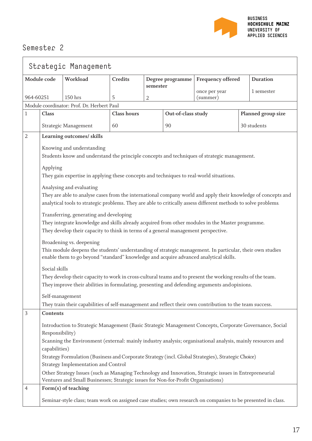

| Strategic Management |                                                                                                                                                                                                                               |                                                                                                                                                                                                                                                              |                    |                   |                    |                           |  |                    |
|----------------------|-------------------------------------------------------------------------------------------------------------------------------------------------------------------------------------------------------------------------------|--------------------------------------------------------------------------------------------------------------------------------------------------------------------------------------------------------------------------------------------------------------|--------------------|-------------------|--------------------|---------------------------|--|--------------------|
|                      | Module code<br>Workload<br><b>Credits</b><br>Degree programme                                                                                                                                                                 |                                                                                                                                                                                                                                                              |                    | Frequency offered | <b>Duration</b>    |                           |  |                    |
| 964-60251            |                                                                                                                                                                                                                               | 150 hrs                                                                                                                                                                                                                                                      | 5                  | semester<br>2     |                    | once per year<br>(summer) |  | 1 semester         |
|                      |                                                                                                                                                                                                                               | Module coordinator: Prof. Dr. Herbert Paul                                                                                                                                                                                                                   |                    |                   |                    |                           |  |                    |
| 1                    | Class                                                                                                                                                                                                                         |                                                                                                                                                                                                                                                              | <b>Class hours</b> |                   | Out-of-class study |                           |  | Planned group size |
|                      |                                                                                                                                                                                                                               | Strategic Management                                                                                                                                                                                                                                         | 60                 |                   | 90                 |                           |  | 30 students        |
| 2                    |                                                                                                                                                                                                                               | Learning outcomes/ skills                                                                                                                                                                                                                                    |                    |                   |                    |                           |  |                    |
|                      | Applying                                                                                                                                                                                                                      | Knowing and understanding<br>Students know and understand the principle concepts and techniques of strategic management.                                                                                                                                     |                    |                   |                    |                           |  |                    |
|                      |                                                                                                                                                                                                                               | They gain expertise in applying these concepts and techniques to real-world situations.                                                                                                                                                                      |                    |                   |                    |                           |  |                    |
|                      |                                                                                                                                                                                                                               | Analysing and evaluating<br>They are able to analyse cases from the international company world and apply their knowledge of concepts and<br>analytical tools to strategic problems. They are able to critically assess different methods to solve problems. |                    |                   |                    |                           |  |                    |
|                      |                                                                                                                                                                                                                               | Transferring, generating and developing<br>They integrate knowledge and skills already acquired from other modules in the Master programme.<br>They develop their capacity to think in terms of a general management perspective.                            |                    |                   |                    |                           |  |                    |
|                      |                                                                                                                                                                                                                               | Broadening vs. deepening<br>This module deepens the students' understanding of strategic management. In particular, their own studies<br>enable them to go beyond "standard" knowledge and acquire advanced analytical skills.                               |                    |                   |                    |                           |  |                    |
|                      | Social skills<br>They develop their capacity to work in cross-cultural teams and to present the working results of the team.<br>They improve their abilities in formulating, presenting and defending arguments and opinions. |                                                                                                                                                                                                                                                              |                    |                   |                    |                           |  |                    |
|                      | Self-management                                                                                                                                                                                                               |                                                                                                                                                                                                                                                              |                    |                   |                    |                           |  |                    |
|                      |                                                                                                                                                                                                                               | They train their capabilities of self-management and reflect their own contribution to the team success.                                                                                                                                                     |                    |                   |                    |                           |  |                    |
| 3                    | Contents                                                                                                                                                                                                                      |                                                                                                                                                                                                                                                              |                    |                   |                    |                           |  |                    |
|                      | Responsibility)                                                                                                                                                                                                               | Introduction to Strategic Management (Basic Strategic Management Concepts, Corporate Governance, Social                                                                                                                                                      |                    |                   |                    |                           |  |                    |
|                      | capabilities)                                                                                                                                                                                                                 | Scanning the Environment (external: mainly industry analysis; organisational analysis, mainly resources and                                                                                                                                                  |                    |                   |                    |                           |  |                    |
|                      |                                                                                                                                                                                                                               | Strategy Formulation (Business and Corporate Strategy (incl. Global Strategies), Strategic Choice)<br>Strategy Implementation and Control                                                                                                                    |                    |                   |                    |                           |  |                    |
|                      |                                                                                                                                                                                                                               | Other Strategy Issues (such as Managing Technology and Innovation, Strategic issues in Entrepreneurial<br>Ventures and Small Businesses; Strategic issues for Non-for-Profit Organisations)                                                                  |                    |                   |                    |                           |  |                    |
| 4                    |                                                                                                                                                                                                                               | Form(s) of teaching                                                                                                                                                                                                                                          |                    |                   |                    |                           |  |                    |
|                      | Seminar-style class; team work on assigned case studies; own research on companies to be presented in class.                                                                                                                  |                                                                                                                                                                                                                                                              |                    |                   |                    |                           |  |                    |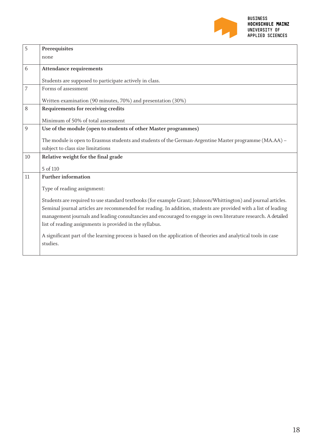

| 5  | Prerequisites                                                                                                   |
|----|-----------------------------------------------------------------------------------------------------------------|
|    | none                                                                                                            |
| 6  | <b>Attendance requirements</b>                                                                                  |
|    | Students are supposed to participate actively in class.                                                         |
| 7  | Forms of assessment                                                                                             |
|    | Written examination (90 minutes, 70%) and presentation (30%)                                                    |
| 8  | Requirements for receiving credits                                                                              |
|    | Minimum of 50% of total assessment                                                                              |
| 9  | Use of the module (open to students of other Master programmes)                                                 |
|    | The module is open to Erasmus students and students of the German-Argentine Master programme (MA.AA) -          |
|    | subject to class size limitations                                                                               |
| 10 | Relative weight for the final grade                                                                             |
|    | 5 of 110                                                                                                        |
| 11 | <b>Further information</b>                                                                                      |
|    | Type of reading assignment:                                                                                     |
|    | Students are required to use standard textbooks (for example Grant; Johnson/Whittington) and journal articles.  |
|    | Seminal journal articles are recommended for reading. In addition, students are provided with a list of leading |
|    | management journals and leading consultancies and encouraged to engage in own literature research. A detailed   |
|    | list of reading assignments is provided in the syllabus.                                                        |
|    | A significant part of the learning process is based on the application of theories and analytical tools in case |
|    | studies.                                                                                                        |
|    |                                                                                                                 |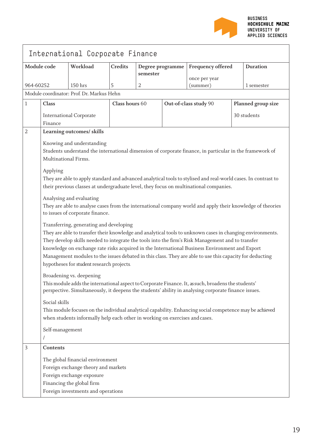

|                |                                                                                                                                                                                                                                                                                                                                                                                                                                                                                                                      | International Corporate Finance                                             |                                                |   |                   |                                                                                                                                                                                                         |                    |             |  |
|----------------|----------------------------------------------------------------------------------------------------------------------------------------------------------------------------------------------------------------------------------------------------------------------------------------------------------------------------------------------------------------------------------------------------------------------------------------------------------------------------------------------------------------------|-----------------------------------------------------------------------------|------------------------------------------------|---|-------------------|---------------------------------------------------------------------------------------------------------------------------------------------------------------------------------------------------------|--------------------|-------------|--|
| Module code    |                                                                                                                                                                                                                                                                                                                                                                                                                                                                                                                      | Workload                                                                    | <b>Credits</b><br>Degree programme<br>semester |   | Frequency offered |                                                                                                                                                                                                         |                    | Duration    |  |
| 964-60252      |                                                                                                                                                                                                                                                                                                                                                                                                                                                                                                                      | $150$ hrs                                                                   | 5                                              | 2 |                   | once per year<br>(summer)                                                                                                                                                                               |                    | 1 semester  |  |
|                |                                                                                                                                                                                                                                                                                                                                                                                                                                                                                                                      | Module coordinator: Prof. Dr. Markus Hehn                                   |                                                |   |                   |                                                                                                                                                                                                         |                    |             |  |
| $\mathbf{1}$   | <b>Class</b>                                                                                                                                                                                                                                                                                                                                                                                                                                                                                                         |                                                                             | Class hours 60                                 |   |                   | Out-of-class study 90                                                                                                                                                                                   | Planned group size |             |  |
|                | Finance                                                                                                                                                                                                                                                                                                                                                                                                                                                                                                              | <b>International Corporate</b>                                              |                                                |   |                   |                                                                                                                                                                                                         |                    | 30 students |  |
| $\overline{2}$ |                                                                                                                                                                                                                                                                                                                                                                                                                                                                                                                      | Learning outcomes/ skills                                                   |                                                |   |                   |                                                                                                                                                                                                         |                    |             |  |
|                | Multinational Firms.                                                                                                                                                                                                                                                                                                                                                                                                                                                                                                 | Knowing and understanding                                                   |                                                |   |                   | Students understand the international dimension of corporate finance, in particular in the framework of                                                                                                 |                    |             |  |
|                | Applying                                                                                                                                                                                                                                                                                                                                                                                                                                                                                                             |                                                                             |                                                |   |                   | They are able to apply standard and advanced analytical tools to stylised and real-world cases. In contrast to<br>their previous classes at undergraduate level, they focus on multinational companies. |                    |             |  |
|                |                                                                                                                                                                                                                                                                                                                                                                                                                                                                                                                      | Analysing and evaluating<br>to issues of corporate finance.                 |                                                |   |                   | They are able to analyse cases from the international company world and apply their knowledge of theories                                                                                               |                    |             |  |
|                | Transferring, generating and developing<br>They are able to transfer their knowledge and analytical tools to unknown cases in changing environments.<br>They develop skills needed to integrate the tools into the firm's Risk Management and to transfer<br>knowledge on exchange rate risks acquired in the International Business Environment and Export<br>Management modules to the issues debated in this class. They are able to use this capacity for deducting<br>hypotheses for student research projects. |                                                                             |                                                |   |                   |                                                                                                                                                                                                         |                    |             |  |
|                | Broadening vs. deepening<br>This module adds the international aspect to Corporate Finance. It, as such, broadens the students'<br>perspective. Simultaneously, it deepens the students' ability in analysing corporate finance issues.                                                                                                                                                                                                                                                                              |                                                                             |                                                |   |                   |                                                                                                                                                                                                         |                    |             |  |
|                | Social skills                                                                                                                                                                                                                                                                                                                                                                                                                                                                                                        | when students informally help each other in working on exercises and cases. |                                                |   |                   | This module focuses on the individual analytical capability. Enhancing social competence may be achieved                                                                                                |                    |             |  |
|                | Self-management                                                                                                                                                                                                                                                                                                                                                                                                                                                                                                      |                                                                             |                                                |   |                   |                                                                                                                                                                                                         |                    |             |  |
| 3              | Contents                                                                                                                                                                                                                                                                                                                                                                                                                                                                                                             |                                                                             |                                                |   |                   |                                                                                                                                                                                                         |                    |             |  |
|                | The global financial environment<br>Foreign exchange theory and markets<br>Foreign exchange exposure<br>Financing the global firm<br>Foreign investments and operations                                                                                                                                                                                                                                                                                                                                              |                                                                             |                                                |   |                   |                                                                                                                                                                                                         |                    |             |  |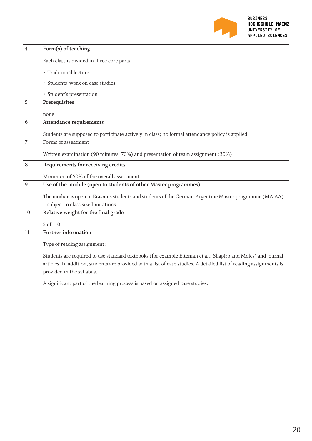

| $\overline{4}$ | Form(s) of teaching                                                                                                                                                                                                                                             |
|----------------|-----------------------------------------------------------------------------------------------------------------------------------------------------------------------------------------------------------------------------------------------------------------|
|                | Each class is divided in three core parts:                                                                                                                                                                                                                      |
|                | • Traditional lecture                                                                                                                                                                                                                                           |
|                | · Students' work on case studies                                                                                                                                                                                                                                |
|                | · Student's presentation                                                                                                                                                                                                                                        |
| 5              | Prerequisites                                                                                                                                                                                                                                                   |
|                | none                                                                                                                                                                                                                                                            |
| 6              | <b>Attendance requirements</b>                                                                                                                                                                                                                                  |
|                | Students are supposed to participate actively in class; no formal attendance policy is applied.                                                                                                                                                                 |
| 7              | Forms of assessment                                                                                                                                                                                                                                             |
|                | Written examination (90 minutes, 70%) and presentation of team assignment (30%)                                                                                                                                                                                 |
| 8              | Requirements for receiving credits                                                                                                                                                                                                                              |
|                | Minimum of 50% of the overall assessment                                                                                                                                                                                                                        |
| 9              | Use of the module (open to students of other Master programmes)                                                                                                                                                                                                 |
|                | The module is open to Erasmus students and students of the German-Argentine Master programme (MA.AA)                                                                                                                                                            |
|                | - subject to class size limitations                                                                                                                                                                                                                             |
| 10             | Relative weight for the final grade                                                                                                                                                                                                                             |
|                | 5 of 110                                                                                                                                                                                                                                                        |
| 11             | <b>Further information</b>                                                                                                                                                                                                                                      |
|                | Type of reading assignment:                                                                                                                                                                                                                                     |
|                | Students are required to use standard textbooks (for example Eiteman et al.; Shapiro and Moles) and journal<br>articles. In addition, students are provided with a list of case studies. A detailed list of reading assignments is<br>provided in the syllabus. |
|                | A significant part of the learning process is based on assigned case studies.                                                                                                                                                                                   |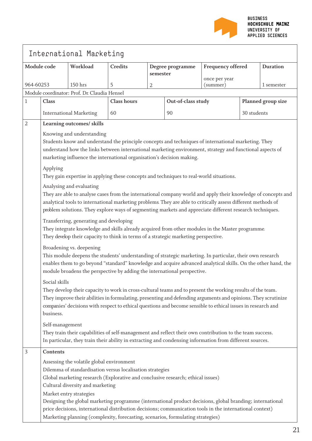

٦

|           |                                                                                                                                                                                                                                                                                                                                                                                                                                                                                                                                                                      | International Marketing                                                                                                                                                                                                                                                                                                                                                |                    |          |                    |                           |                                      |                    |  |  |
|-----------|----------------------------------------------------------------------------------------------------------------------------------------------------------------------------------------------------------------------------------------------------------------------------------------------------------------------------------------------------------------------------------------------------------------------------------------------------------------------------------------------------------------------------------------------------------------------|------------------------------------------------------------------------------------------------------------------------------------------------------------------------------------------------------------------------------------------------------------------------------------------------------------------------------------------------------------------------|--------------------|----------|--------------------|---------------------------|--------------------------------------|--------------------|--|--|
|           | Module code                                                                                                                                                                                                                                                                                                                                                                                                                                                                                                                                                          | Workload                                                                                                                                                                                                                                                                                                                                                               | Credits            | semester | Degree programme   |                           | Frequency offered<br><b>Duration</b> |                    |  |  |
| 964-60253 |                                                                                                                                                                                                                                                                                                                                                                                                                                                                                                                                                                      | 150 hrs                                                                                                                                                                                                                                                                                                                                                                | 5                  | 2        |                    | once per year<br>(summer) |                                      | 1 semester         |  |  |
|           |                                                                                                                                                                                                                                                                                                                                                                                                                                                                                                                                                                      | Module coordinator: Prof. Dr. Claudia Hensel                                                                                                                                                                                                                                                                                                                           |                    |          |                    |                           |                                      |                    |  |  |
| 1         | Class                                                                                                                                                                                                                                                                                                                                                                                                                                                                                                                                                                |                                                                                                                                                                                                                                                                                                                                                                        | <b>Class hours</b> |          | Out-of-class study |                           |                                      | Planned group size |  |  |
|           |                                                                                                                                                                                                                                                                                                                                                                                                                                                                                                                                                                      | <b>International Marketing</b>                                                                                                                                                                                                                                                                                                                                         | 60                 |          | 90                 |                           | 30 students                          |                    |  |  |
| 2         |                                                                                                                                                                                                                                                                                                                                                                                                                                                                                                                                                                      | Learning outcomes/ skills                                                                                                                                                                                                                                                                                                                                              |                    |          |                    |                           |                                      |                    |  |  |
|           | Knowing and understanding<br>Students know and understand the principle concepts and techniques of international marketing. They<br>understand how the links between international marketing environment, strategy and functional aspects of<br>marketing influence the international organisation's decision making.<br>Applying                                                                                                                                                                                                                                    |                                                                                                                                                                                                                                                                                                                                                                        |                    |          |                    |                           |                                      |                    |  |  |
|           |                                                                                                                                                                                                                                                                                                                                                                                                                                                                                                                                                                      | They gain expertise in applying these concepts and techniques to real-world situations.                                                                                                                                                                                                                                                                                |                    |          |                    |                           |                                      |                    |  |  |
|           |                                                                                                                                                                                                                                                                                                                                                                                                                                                                                                                                                                      | Analysing and evaluating<br>They are able to analyse cases from the international company world and apply their knowledge of concepts and<br>analytical tools to international marketing problems. They are able to critically assess different methods of<br>problem solutions. They explore ways of segmenting markets and appreciate different research techniques. |                    |          |                    |                           |                                      |                    |  |  |
|           |                                                                                                                                                                                                                                                                                                                                                                                                                                                                                                                                                                      | Transferring, generating and developing<br>They integrate knowledge and skills already acquired from other modules in the Master programme.<br>They develop their capacity to think in terms of a strategic marketing perspective.                                                                                                                                     |                    |          |                    |                           |                                      |                    |  |  |
|           |                                                                                                                                                                                                                                                                                                                                                                                                                                                                                                                                                                      | Broadening vs. deepening<br>This module deepens the students' understanding of strategic marketing. In particular, their own research<br>enables them to go beyond "standard" knowledge and acquire advanced analytical skills. On the other hand, the<br>module broadens the perspective by adding the international perspective.                                     |                    |          |                    |                           |                                      |                    |  |  |
|           | Social skills<br>They develop their capacity to work in cross-cultural teams and to present the working results of the team.<br>They improve their abilities in formulating, presenting and defending arguments and opinions. They scrutinize<br>companies' decisions with respect to ethical questions and become sensible to ethical issues in research and<br>business.                                                                                                                                                                                           |                                                                                                                                                                                                                                                                                                                                                                        |                    |          |                    |                           |                                      |                    |  |  |
|           | Self-management                                                                                                                                                                                                                                                                                                                                                                                                                                                                                                                                                      | They train their capabilities of self-management and reflect their own contribution to the team success.<br>In particular, they train their ability in extracting and condensing information from different sources.                                                                                                                                                   |                    |          |                    |                           |                                      |                    |  |  |
| 3         | Contents                                                                                                                                                                                                                                                                                                                                                                                                                                                                                                                                                             |                                                                                                                                                                                                                                                                                                                                                                        |                    |          |                    |                           |                                      |                    |  |  |
|           | Assessing the volatile global environment<br>Dilemma of standardisation versus localisation strategies<br>Global marketing research (Explorative and conclusive research; ethical issues)<br>Cultural diversity and marketing<br>Market entry strategies<br>Designing the global marketing programme (international product decisions, global branding; international<br>price decisions, international distribution decisions; communication tools in the international context)<br>Marketing planning (complexity, forecasting, scenarios, formulating strategies) |                                                                                                                                                                                                                                                                                                                                                                        |                    |          |                    |                           |                                      |                    |  |  |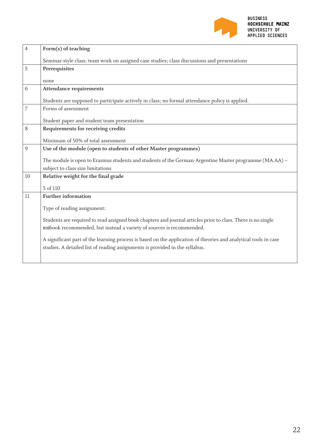

| $\overline{4}$ | Form(s) of teaching                                                                                             |
|----------------|-----------------------------------------------------------------------------------------------------------------|
|                | Seminar-style class; team work on assigned case studies; class discussions and presentations                    |
| 5              | Prerequisites                                                                                                   |
|                | none                                                                                                            |
| 6              | <b>Attendance requirements</b>                                                                                  |
|                | Students are supposed to participate actively in class; no formal attendance policy is applied.                 |
| $\overline{7}$ | Forms of assessment                                                                                             |
|                | Student paper and student team presentation                                                                     |
| 8              | Requirements for receiving credits                                                                              |
|                | Minimum of 50% of total assessment                                                                              |
| 9              | Use of the module (open to students of other Master programmes)                                                 |
|                | The module is open to Erasmus students and students of the German-Argentine Master programme (MA.AA) -          |
|                | subject to class size limitations                                                                               |
| 10             | Relative weight for the final grade                                                                             |
|                | 5 of 110                                                                                                        |
| 11             | <b>Further information</b>                                                                                      |
|                | Type of reading assignment:                                                                                     |
|                | Students are required to read assigned book chapters and journal articles prior to class. There is no single    |
|                | textbook recommended, but instead a variety of sources is recommended.                                          |
|                | A significant part of the learning process is based on the application of theories and analytical tools in case |
|                | studies. A detailed list of reading assignments is provided in the syllabus.                                    |
|                |                                                                                                                 |
|                |                                                                                                                 |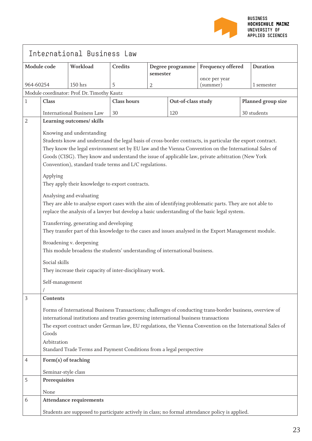

|                |                                                                                                                                                                                                                                                                                                                                                                                                                                                                                                                                                                                                                                                                                                                                                                                                                                                                                                                                                                                                                                                                                                   | International Business Law                  |                    |                |                    |                   |                 |                    |
|----------------|---------------------------------------------------------------------------------------------------------------------------------------------------------------------------------------------------------------------------------------------------------------------------------------------------------------------------------------------------------------------------------------------------------------------------------------------------------------------------------------------------------------------------------------------------------------------------------------------------------------------------------------------------------------------------------------------------------------------------------------------------------------------------------------------------------------------------------------------------------------------------------------------------------------------------------------------------------------------------------------------------------------------------------------------------------------------------------------------------|---------------------------------------------|--------------------|----------------|--------------------|-------------------|-----------------|--------------------|
| Module code    |                                                                                                                                                                                                                                                                                                                                                                                                                                                                                                                                                                                                                                                                                                                                                                                                                                                                                                                                                                                                                                                                                                   | Workload                                    | <b>Credits</b>     | semester       | Degree programme   | Frequency offered | <b>Duration</b> |                    |
| 964-60254      |                                                                                                                                                                                                                                                                                                                                                                                                                                                                                                                                                                                                                                                                                                                                                                                                                                                                                                                                                                                                                                                                                                   | 150 hrs                                     | 5                  |                |                    | once per year     |                 | 1 semester         |
|                |                                                                                                                                                                                                                                                                                                                                                                                                                                                                                                                                                                                                                                                                                                                                                                                                                                                                                                                                                                                                                                                                                                   | Module coordinator: Prof. Dr. Timothy Kautz |                    | $\overline{2}$ |                    | (summer)          |                 |                    |
| 1              | Class                                                                                                                                                                                                                                                                                                                                                                                                                                                                                                                                                                                                                                                                                                                                                                                                                                                                                                                                                                                                                                                                                             |                                             | <b>Class hours</b> |                | Out-of-class study |                   |                 | Planned group size |
|                |                                                                                                                                                                                                                                                                                                                                                                                                                                                                                                                                                                                                                                                                                                                                                                                                                                                                                                                                                                                                                                                                                                   | <b>International Business Law</b>           |                    |                |                    |                   |                 |                    |
| $\overline{2}$ |                                                                                                                                                                                                                                                                                                                                                                                                                                                                                                                                                                                                                                                                                                                                                                                                                                                                                                                                                                                                                                                                                                   |                                             | 30                 |                | 120                |                   |                 | 30 students        |
|                | Learning outcomes/ skills<br>Knowing and understanding<br>Students know and understand the legal basis of cross-border contracts, in particular the export contract.<br>They know the legal environment set by EU law and the Vienna Convention on the International Sales of<br>Goods (CISG). They know and understand the issue of applicable law, private arbitration (New York<br>Convention), standard trade terms and L/C regulations.<br>Applying<br>They apply their knowledge to export contracts.<br>Analysing and evaluating<br>They are able to analyse export cases with the aim of identifying problematic parts. They are not able to<br>replace the analysis of a lawyer but develop a basic understanding of the basic legal system.<br>Transferring, generating and developing<br>They transfer part of this knowledge to the cases and issues analysed in the Export Management module.<br>Broadening v. deepening<br>This module broadens the students' understanding of international business.<br>Social skills<br>They increase their capacity of inter-disciplinary work. |                                             |                    |                |                    |                   |                 |                    |
|                | Self-management                                                                                                                                                                                                                                                                                                                                                                                                                                                                                                                                                                                                                                                                                                                                                                                                                                                                                                                                                                                                                                                                                   |                                             |                    |                |                    |                   |                 |                    |
| $\mathfrak{Z}$ | Contents                                                                                                                                                                                                                                                                                                                                                                                                                                                                                                                                                                                                                                                                                                                                                                                                                                                                                                                                                                                                                                                                                          |                                             |                    |                |                    |                   |                 |                    |
|                | Forms of International Business Transactions; challenges of conducting trans-border business, overview of<br>international institutions and treaties governing international business transactions<br>The export contract under German law, EU regulations, the Vienna Convention on the International Sales of<br>Goods<br>Arbitration<br>Standard Trade Terms and Payment Conditions from a legal perspective                                                                                                                                                                                                                                                                                                                                                                                                                                                                                                                                                                                                                                                                                   |                                             |                    |                |                    |                   |                 |                    |
| $\overline{4}$ | Form(s) of teaching                                                                                                                                                                                                                                                                                                                                                                                                                                                                                                                                                                                                                                                                                                                                                                                                                                                                                                                                                                                                                                                                               |                                             |                    |                |                    |                   |                 |                    |
|                | Seminar-style class                                                                                                                                                                                                                                                                                                                                                                                                                                                                                                                                                                                                                                                                                                                                                                                                                                                                                                                                                                                                                                                                               |                                             |                    |                |                    |                   |                 |                    |
| 5              | Prerequisites                                                                                                                                                                                                                                                                                                                                                                                                                                                                                                                                                                                                                                                                                                                                                                                                                                                                                                                                                                                                                                                                                     |                                             |                    |                |                    |                   |                 |                    |
| 6              | None                                                                                                                                                                                                                                                                                                                                                                                                                                                                                                                                                                                                                                                                                                                                                                                                                                                                                                                                                                                                                                                                                              |                                             |                    |                |                    |                   |                 |                    |
|                |                                                                                                                                                                                                                                                                                                                                                                                                                                                                                                                                                                                                                                                                                                                                                                                                                                                                                                                                                                                                                                                                                                   | <b>Attendance requirements</b>              |                    |                |                    |                   |                 |                    |
|                | Students are supposed to participate actively in class; no formal attendance policy is applied.                                                                                                                                                                                                                                                                                                                                                                                                                                                                                                                                                                                                                                                                                                                                                                                                                                                                                                                                                                                                   |                                             |                    |                |                    |                   |                 |                    |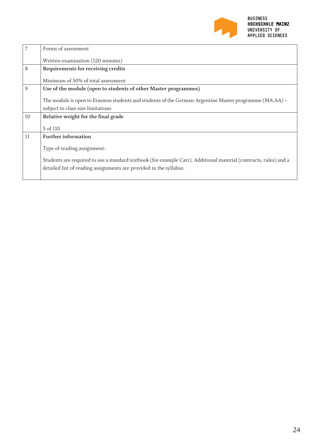

| 7  | Forms of assessment                                                                                                                                                                     |
|----|-----------------------------------------------------------------------------------------------------------------------------------------------------------------------------------------|
|    | Written examination (120 minutes)                                                                                                                                                       |
| 8  | Requirements for receiving credits                                                                                                                                                      |
|    | Minimum of 50% of total assessment                                                                                                                                                      |
| 9  | Use of the module (open to students of other Master programmes)                                                                                                                         |
|    | The module is open to Erasmus students and students of the German-Argentine Master programme (MA.AA) –                                                                                  |
|    | subject to class size limitations                                                                                                                                                       |
| 10 | Relative weight for the final grade                                                                                                                                                     |
|    | 5 of 110                                                                                                                                                                                |
| 11 | <b>Further information</b>                                                                                                                                                              |
|    | Type of reading assignment:                                                                                                                                                             |
|    | Students are required to use a standard textbook (for example Carr). Additional material (contracts, rules) and a<br>detailed list of reading assignments are provided in the syllabus. |
|    |                                                                                                                                                                                         |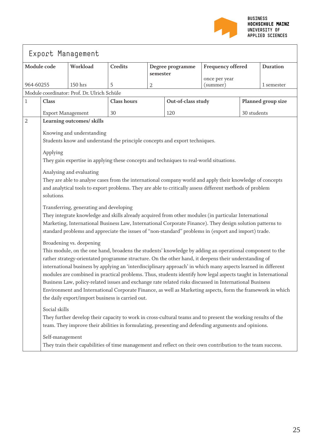

|                |                                                                                                                                                                                                                                                                                                                                                                                                                                                                                                                                                                                                                                                                                                                                                             | Export Management                                                                                                                                                                                                                                                                                                                                                    |                    |                                                   |                    |                           |                    |            |  |
|----------------|-------------------------------------------------------------------------------------------------------------------------------------------------------------------------------------------------------------------------------------------------------------------------------------------------------------------------------------------------------------------------------------------------------------------------------------------------------------------------------------------------------------------------------------------------------------------------------------------------------------------------------------------------------------------------------------------------------------------------------------------------------------|----------------------------------------------------------------------------------------------------------------------------------------------------------------------------------------------------------------------------------------------------------------------------------------------------------------------------------------------------------------------|--------------------|---------------------------------------------------|--------------------|---------------------------|--------------------|------------|--|
|                | Module code                                                                                                                                                                                                                                                                                                                                                                                                                                                                                                                                                                                                                                                                                                                                                 | Workload                                                                                                                                                                                                                                                                                                                                                             | <b>Credits</b>     | Frequency offered<br>Degree programme<br>semester |                    |                           | <b>Duration</b>    |            |  |
| 964-60255      |                                                                                                                                                                                                                                                                                                                                                                                                                                                                                                                                                                                                                                                                                                                                                             | 150 hrs                                                                                                                                                                                                                                                                                                                                                              | 5                  | 2                                                 |                    | once per year<br>(summer) |                    | 1 semester |  |
|                |                                                                                                                                                                                                                                                                                                                                                                                                                                                                                                                                                                                                                                                                                                                                                             | Module coordinator: Prof. Dr. Ulrich Schüle                                                                                                                                                                                                                                                                                                                          |                    |                                                   |                    |                           |                    |            |  |
| 1              | Class                                                                                                                                                                                                                                                                                                                                                                                                                                                                                                                                                                                                                                                                                                                                                       |                                                                                                                                                                                                                                                                                                                                                                      | <b>Class hours</b> |                                                   | Out-of-class study |                           | Planned group size |            |  |
|                | <b>Export Management</b>                                                                                                                                                                                                                                                                                                                                                                                                                                                                                                                                                                                                                                                                                                                                    |                                                                                                                                                                                                                                                                                                                                                                      | 30                 |                                                   | 120                |                           | 30 students        |            |  |
| $\overline{2}$ |                                                                                                                                                                                                                                                                                                                                                                                                                                                                                                                                                                                                                                                                                                                                                             | Learning outcomes/ skills                                                                                                                                                                                                                                                                                                                                            |                    |                                                   |                    |                           |                    |            |  |
|                |                                                                                                                                                                                                                                                                                                                                                                                                                                                                                                                                                                                                                                                                                                                                                             | Knowing and understanding                                                                                                                                                                                                                                                                                                                                            |                    |                                                   |                    |                           |                    |            |  |
|                |                                                                                                                                                                                                                                                                                                                                                                                                                                                                                                                                                                                                                                                                                                                                                             | Students know and understand the principle concepts and export techniques.                                                                                                                                                                                                                                                                                           |                    |                                                   |                    |                           |                    |            |  |
|                | Applying                                                                                                                                                                                                                                                                                                                                                                                                                                                                                                                                                                                                                                                                                                                                                    |                                                                                                                                                                                                                                                                                                                                                                      |                    |                                                   |                    |                           |                    |            |  |
|                |                                                                                                                                                                                                                                                                                                                                                                                                                                                                                                                                                                                                                                                                                                                                                             | They gain expertise in applying these concepts and techniques to real-world situations.                                                                                                                                                                                                                                                                              |                    |                                                   |                    |                           |                    |            |  |
|                | solutions.                                                                                                                                                                                                                                                                                                                                                                                                                                                                                                                                                                                                                                                                                                                                                  | Analysing and evaluating<br>They are able to analyse cases from the international company world and apply their knowledge of concepts<br>and analytical tools to export problems. They are able to critically assess different methods of problem                                                                                                                    |                    |                                                   |                    |                           |                    |            |  |
|                |                                                                                                                                                                                                                                                                                                                                                                                                                                                                                                                                                                                                                                                                                                                                                             | Transferring, generating and developing<br>They integrate knowledge and skills already acquired from other modules (in particular International<br>Marketing, International Business Law, International Corporate Finance). They design solution patterns to<br>standard problems and appreciate the issues of "non-standard" problems in (export and import) trade. |                    |                                                   |                    |                           |                    |            |  |
|                | Broadening vs. deepening<br>This module, on the one hand, broadens the students' knowledge by adding an operational component to the<br>rather strategy-orientated programme structure. On the other hand, it deepens their understanding of<br>international business by applying an 'interdisciplinary approach' in which many aspects learned in different<br>modules are combined in practical problems. Thus, students identify how legal aspects taught in International<br>Business Law, policy-related issues and exchange rate related risks discussed in International Business<br>Environment and International Corporate Finance, as well as Marketing aspects, form the framework in which<br>the daily export/import business is carried out. |                                                                                                                                                                                                                                                                                                                                                                      |                    |                                                   |                    |                           |                    |            |  |
|                | Social skills<br>They further develop their capacity to work in cross-cultural teams and to present the working results of the<br>team. They improve their abilities in formulating, presenting and defending arguments and opinions.<br>Self-management                                                                                                                                                                                                                                                                                                                                                                                                                                                                                                    |                                                                                                                                                                                                                                                                                                                                                                      |                    |                                                   |                    |                           |                    |            |  |
|                |                                                                                                                                                                                                                                                                                                                                                                                                                                                                                                                                                                                                                                                                                                                                                             | They train their capabilities of time management and reflect on their own contribution to the team success.                                                                                                                                                                                                                                                          |                    |                                                   |                    |                           |                    |            |  |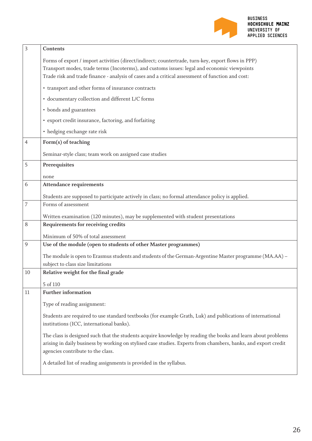

| $\overline{3}$ | Contents                                                                                                                                                                                                                                                            |
|----------------|---------------------------------------------------------------------------------------------------------------------------------------------------------------------------------------------------------------------------------------------------------------------|
|                | Forms of export / import activities (direct/indirect; countertrade, turn-key, export flows in PPP)                                                                                                                                                                  |
|                | Transport modes, trade terms (Incoterms), and customs issues: legal and economic viewpoints                                                                                                                                                                         |
|                | Trade risk and trade finance - analysis of cases and a critical assessment of function and cost:                                                                                                                                                                    |
|                | • transport and other forms of insurance contracts                                                                                                                                                                                                                  |
|                | · documentary collection and different L/C forms                                                                                                                                                                                                                    |
|                | • bonds and guarantees                                                                                                                                                                                                                                              |
|                | · export credit insurance, factoring, and forfaiting                                                                                                                                                                                                                |
|                | • hedging exchange rate risk                                                                                                                                                                                                                                        |
| $\overline{4}$ | Form(s) of teaching                                                                                                                                                                                                                                                 |
|                | Seminar-style class; team work on assigned case studies                                                                                                                                                                                                             |
| 5              | Prerequisites                                                                                                                                                                                                                                                       |
|                | none                                                                                                                                                                                                                                                                |
| 6              | <b>Attendance requirements</b>                                                                                                                                                                                                                                      |
|                | Students are supposed to participate actively in class; no formal attendance policy is applied.                                                                                                                                                                     |
| $\overline{7}$ | Forms of assessment                                                                                                                                                                                                                                                 |
|                | Written examination (120 minutes), may be supplemented with student presentations                                                                                                                                                                                   |
| 8              | Requirements for receiving credits                                                                                                                                                                                                                                  |
|                | Minimum of 50% of total assessment                                                                                                                                                                                                                                  |
| 9              | Use of the module (open to students of other Master programmes)                                                                                                                                                                                                     |
|                | The module is open to Erasmus students and students of the German-Argentine Master programme (MA.AA) -                                                                                                                                                              |
|                | subject to class size limitations                                                                                                                                                                                                                                   |
| 10             | Relative weight for the final grade                                                                                                                                                                                                                                 |
|                | 5 of 110                                                                                                                                                                                                                                                            |
| 11             | <b>Further information</b>                                                                                                                                                                                                                                          |
|                | Type of reading assignment:                                                                                                                                                                                                                                         |
|                | Students are required to use standard textbooks (for example Grath, Luk) and publications of international<br>institutions (ICC, international banks).                                                                                                              |
|                | The class is designed such that the students acquire knowledge by reading the books and learn about problems<br>arising in daily business by working on stylised case studies. Experts from chambers, banks, and export credit<br>agencies contribute to the class. |
|                | A detailed list of reading assignments is provided in the syllabus.                                                                                                                                                                                                 |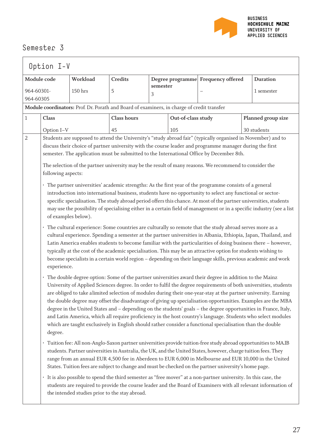

|                                                                                                                                                                                                                                                                                                                                                        |                                                                                                                                                                                                                                                                                                                                                                                                                                                                                                                                                                                                                                                                                                                                                                                                                                                                                                                                                                                                                                                                                                                                                                                                                                                                                                                                                                                                                                                                                                                                                                                                                                                                                                                                                                                                                                                                                                                                                                                                                                                                                                                                                                                                                                                                                                                                                                                                                                                                                                                                                                                                                                                                                                                                                                                                                                                                                                                                                                            |             | Option I-V    |     |                                    |  |                 |  |  |  |  |
|--------------------------------------------------------------------------------------------------------------------------------------------------------------------------------------------------------------------------------------------------------------------------------------------------------------------------------------------------------|----------------------------------------------------------------------------------------------------------------------------------------------------------------------------------------------------------------------------------------------------------------------------------------------------------------------------------------------------------------------------------------------------------------------------------------------------------------------------------------------------------------------------------------------------------------------------------------------------------------------------------------------------------------------------------------------------------------------------------------------------------------------------------------------------------------------------------------------------------------------------------------------------------------------------------------------------------------------------------------------------------------------------------------------------------------------------------------------------------------------------------------------------------------------------------------------------------------------------------------------------------------------------------------------------------------------------------------------------------------------------------------------------------------------------------------------------------------------------------------------------------------------------------------------------------------------------------------------------------------------------------------------------------------------------------------------------------------------------------------------------------------------------------------------------------------------------------------------------------------------------------------------------------------------------------------------------------------------------------------------------------------------------------------------------------------------------------------------------------------------------------------------------------------------------------------------------------------------------------------------------------------------------------------------------------------------------------------------------------------------------------------------------------------------------------------------------------------------------------------------------------------------------------------------------------------------------------------------------------------------------------------------------------------------------------------------------------------------------------------------------------------------------------------------------------------------------------------------------------------------------------------------------------------------------------------------------------------------------|-------------|---------------|-----|------------------------------------|--|-----------------|--|--|--|--|
| Module code<br>Workload                                                                                                                                                                                                                                                                                                                                |                                                                                                                                                                                                                                                                                                                                                                                                                                                                                                                                                                                                                                                                                                                                                                                                                                                                                                                                                                                                                                                                                                                                                                                                                                                                                                                                                                                                                                                                                                                                                                                                                                                                                                                                                                                                                                                                                                                                                                                                                                                                                                                                                                                                                                                                                                                                                                                                                                                                                                                                                                                                                                                                                                                                                                                                                                                                                                                                                                            | Credits     |               |     | Degree programme Frequency offered |  | <b>Duration</b> |  |  |  |  |
| 964-60301-<br>964-60305                                                                                                                                                                                                                                                                                                                                | 150 hrs                                                                                                                                                                                                                                                                                                                                                                                                                                                                                                                                                                                                                                                                                                                                                                                                                                                                                                                                                                                                                                                                                                                                                                                                                                                                                                                                                                                                                                                                                                                                                                                                                                                                                                                                                                                                                                                                                                                                                                                                                                                                                                                                                                                                                                                                                                                                                                                                                                                                                                                                                                                                                                                                                                                                                                                                                                                                                                                                                                    | 5           | semester<br>3 |     |                                    |  | 1 semester      |  |  |  |  |
|                                                                                                                                                                                                                                                                                                                                                        |                                                                                                                                                                                                                                                                                                                                                                                                                                                                                                                                                                                                                                                                                                                                                                                                                                                                                                                                                                                                                                                                                                                                                                                                                                                                                                                                                                                                                                                                                                                                                                                                                                                                                                                                                                                                                                                                                                                                                                                                                                                                                                                                                                                                                                                                                                                                                                                                                                                                                                                                                                                                                                                                                                                                                                                                                                                                                                                                                                            |             |               |     |                                    |  |                 |  |  |  |  |
| $\mathbf 1$<br>Class                                                                                                                                                                                                                                                                                                                                   |                                                                                                                                                                                                                                                                                                                                                                                                                                                                                                                                                                                                                                                                                                                                                                                                                                                                                                                                                                                                                                                                                                                                                                                                                                                                                                                                                                                                                                                                                                                                                                                                                                                                                                                                                                                                                                                                                                                                                                                                                                                                                                                                                                                                                                                                                                                                                                                                                                                                                                                                                                                                                                                                                                                                                                                                                                                                                                                                                                            | Class hours |               |     |                                    |  |                 |  |  |  |  |
| Option I-V                                                                                                                                                                                                                                                                                                                                             |                                                                                                                                                                                                                                                                                                                                                                                                                                                                                                                                                                                                                                                                                                                                                                                                                                                                                                                                                                                                                                                                                                                                                                                                                                                                                                                                                                                                                                                                                                                                                                                                                                                                                                                                                                                                                                                                                                                                                                                                                                                                                                                                                                                                                                                                                                                                                                                                                                                                                                                                                                                                                                                                                                                                                                                                                                                                                                                                                                            | 45          |               | 105 |                                    |  |                 |  |  |  |  |
| $\sqrt{2}$<br>$\bullet$<br>experience.<br>degree.<br>$\bullet$<br>· It is also possible to spend the third semester as "free mover" at a non-partner university. In this case, the<br>students are required to provide the course leader and the Board of Examiners with all relevant information of<br>the intended studies prior to the stay abroad. | Module coordinators: Prof. Dr. Porath and Board of examiners, in charge of credit transfer<br>Out-of-class study<br>Planned group size<br>30 students<br>Students are supposed to attend the University's "study abroad fair" (typically organised in November) and to<br>discuss their choice of partner university with the course leader and programme manager during the first<br>semester. The application must be submitted to the International Office by December 8th.<br>The selection of the partner university may be the result of many reasons. We recommend to consider the<br>following aspects:<br>· The partner universities' academic strengths: As the first year of the programme consists of a general<br>introduction into international business, students have no opportunity to select any functional or sector-<br>specific specialisation. The study abroad period offers this chance. At most of the partner universities, students<br>may use the possibility of specialising either in a certain field of management or in a specific industry (see a list<br>of examples below).<br>The cultural experience: Some countries are culturally so remote that the study abroad serves more as a<br>cultural experience. Spending a semester at the partner universities in Albania, Ethiopia, Japan, Thailand, and<br>Latin America enables students to become familiar with the particularities of doing business there - however,<br>typically at the cost of the academic specialisation. This may be an attractive option for students wishing to<br>become specialists in a certain world region - depending on their language skills, previous academic and work<br>The double degree option: Some of the partner universities award their degree in addition to the Mainz<br>University of Applied Sciences degree. In order to fulfil the degree requirements of both universities, students<br>are obliged to take alimited selection of modules during their one-year-stay at the partner university. Earning<br>the double degree may offset the disadvantage of giving up specialisation opportunities. Examples are the MBA<br>degree in the United States and - depending on the students' goals - the degree opportunities in France, Italy,<br>and Latin America, which all require proficiency in the host country's language. Students who select modules<br>which are taught exclusively in English should rather consider a functional specialisation than the double<br>Tuition fee: All non-Anglo-Saxon partner universities provide tuition-free study abroad opportunities to MA.IB<br>students. Partner universities in Australia, the UK, and the United States, however, charge tuition fees. They<br>range from an annual EUR 4,500 fee in Aberdeen to EUR 6,000 in Melbourne and EUR 10,000 in the United<br>States. Tuition fees are subject to change and must be checked on the partner university's home page. |             |               |     |                                    |  |                 |  |  |  |  |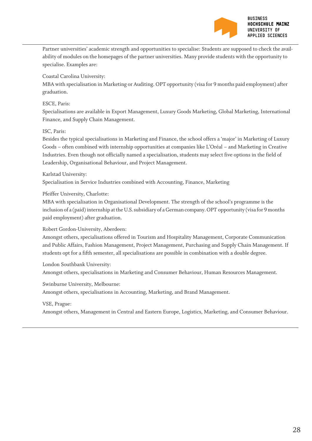

Partner universities' academic strength and opportunities to specialise: Students are supposed to check the availability of modules on the homepages of the partner universities. Many provide students with the opportunity to specialise. Examples are:

Coastal Carolina University:

MBA with specialisation in Marketing or Auditing. OPT opportunity (visa for 9 months paid employment) after graduation.

#### ESCE, Paris:

Specialisations are available in Export Management, Luxury Goods Marketing, Global Marketing, International Finance, and Supply Chain Management.

#### ISC, Paris:

Besides the typical specialisations in Marketing and Finance, the school offers a 'major' in Marketing of Luxury Goods – often combined with internship opportunities at companies like L'Oréal – and Marketing in Creative Industries. Even though not officially named a specialisation, students may select five options in the field of Leadership, Organisational Behaviour, and Project Management.

#### Karlstad University:

Specialisation in Service Industries combined with Accounting, Finance, Marketing

Pfeiffer University, Charlotte:

MBA with specialisation in Organisational Development. The strength of the school's programme is the inclusion of a (paid) internship at the U.S. subsidiary of a German company. OPT opportunity (visa for 9 months paid employment) after graduation.

Robert Gordon-University, Aberdeen:

Amongst others, specialisations offered in Tourism and Hospitality Management, Corporate Communication and Public Affairs, Fashion Management, Project Management, Purchasing and Supply Chain Management. If students opt for a fifth semester, all specialisations are possible in combination with a double degree.

London Southbank University: Amongst others, specialisations in Marketing and Consumer Behaviour, Human Resources Management.

Swinburne University, Melbourne: Amongst others, specialisations in Accounting, Marketing, and Brand Management.

#### VSE, Prague:

Amongst others, Management in Central and Eastern Europe, Logistics, Marketing, and Consumer Behaviour.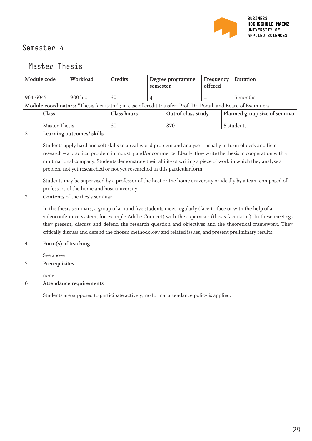

| Master Thesis  |                     |                                                                                                                |                    |          |                    |                      |  |                                                                                                                  |
|----------------|---------------------|----------------------------------------------------------------------------------------------------------------|--------------------|----------|--------------------|----------------------|--|------------------------------------------------------------------------------------------------------------------|
| Module code    |                     | Workload                                                                                                       | Credits            | semester | Degree programme   | Frequency<br>offered |  | <b>Duration</b>                                                                                                  |
| 964-60451      |                     | 900 hrs                                                                                                        | 30                 | 4        |                    |                      |  | 5 months                                                                                                         |
|                |                     | Module coordinators: "Thesis facilitator"; in case of credit transfer: Prof. Dr. Porath and Board of Examiners |                    |          |                    |                      |  |                                                                                                                  |
| 1              | Class               |                                                                                                                | <b>Class hours</b> |          | Out-of-class study |                      |  | Planned group size of seminar                                                                                    |
|                | Master Thesis       |                                                                                                                | 30                 |          | 870                |                      |  | 5 students                                                                                                       |
| $\overline{2}$ |                     | Learning outcomes/ skills                                                                                      |                    |          |                    |                      |  |                                                                                                                  |
|                |                     |                                                                                                                |                    |          |                    |                      |  | Students apply hard and soft skills to a real-world problem and analyse - usually in form of desk and field      |
|                |                     |                                                                                                                |                    |          |                    |                      |  | research - a practical problem in industry and/or commerce. Ideally, they write the thesis in cooperation with a |
|                |                     |                                                                                                                |                    |          |                    |                      |  | multinational company. Students demonstrate their ability of writing a piece of work in which they analyse a     |
|                |                     | problem not yet researched or not yet researched in this particular form.                                      |                    |          |                    |                      |  |                                                                                                                  |
|                |                     |                                                                                                                |                    |          |                    |                      |  | Students may be supervised by a professor of the host or the home university or ideally by a team composed of    |
|                |                     | professors of the home and host university.                                                                    |                    |          |                    |                      |  |                                                                                                                  |
| 3              |                     | Contents of the thesis seminar                                                                                 |                    |          |                    |                      |  |                                                                                                                  |
|                |                     |                                                                                                                |                    |          |                    |                      |  | In the thesis seminars, a group of around five students meet regularly (face-to-face or with the help of a       |
|                |                     |                                                                                                                |                    |          |                    |                      |  | videoconference system, for example Adobe Connect) with the supervisor (thesis facilitator). In these meetings   |
|                |                     |                                                                                                                |                    |          |                    |                      |  | they present, discuss and defend the research question and objectives and the theoretical framework. They        |
|                |                     |                                                                                                                |                    |          |                    |                      |  | critically discuss and defend the chosen methodology and related issues, and present preliminary results.        |
| $\overline{4}$ | Form(s) of teaching |                                                                                                                |                    |          |                    |                      |  |                                                                                                                  |
|                | See above           |                                                                                                                |                    |          |                    |                      |  |                                                                                                                  |
| 5              | Prerequisites       |                                                                                                                |                    |          |                    |                      |  |                                                                                                                  |
|                | none                |                                                                                                                |                    |          |                    |                      |  |                                                                                                                  |
| 6              |                     | <b>Attendance requirements</b>                                                                                 |                    |          |                    |                      |  |                                                                                                                  |
|                |                     | Students are supposed to participate actively; no formal attendance policy is applied.                         |                    |          |                    |                      |  |                                                                                                                  |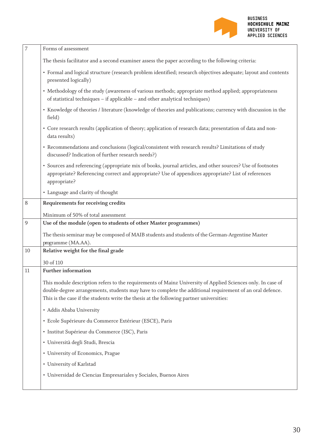

| 7  | Forms of assessment                                                                                                                                                                                                                                                                                                 |
|----|---------------------------------------------------------------------------------------------------------------------------------------------------------------------------------------------------------------------------------------------------------------------------------------------------------------------|
|    | The thesis facilitator and a second examiner assess the paper according to the following criteria:                                                                                                                                                                                                                  |
|    | · Formal and logical structure (research problem identified; research objectives adequate; layout and contents<br>presented logically)                                                                                                                                                                              |
|    | • Methodology of the study (awareness of various methods; appropriate method applied; appropriateness<br>of statistical techniques - if applicable - and other analytical techniques)                                                                                                                               |
|    | • Knowledge of theories / literature (knowledge of theories and publications; currency with discussion in the<br>field)                                                                                                                                                                                             |
|    | • Core research results (application of theory; application of research data; presentation of data and non-<br>data results)                                                                                                                                                                                        |
|    | • Recommendations and conclusions (logical/consistent with research results? Limitations of study<br>discussed? Indication of further research needs?)                                                                                                                                                              |
|    | • Sources and referencing (appropriate mix of books, journal articles, and other sources? Use of footnotes<br>appropriate? Referencing correct and appropriate? Use of appendices appropriate? List of references<br>appropriate?                                                                                   |
|    | • Language and clarity of thought                                                                                                                                                                                                                                                                                   |
| 8  | Requirements for receiving credits                                                                                                                                                                                                                                                                                  |
|    | Minimum of 50% of total assessment                                                                                                                                                                                                                                                                                  |
| 9  | Use of the module (open to students of other Master programmes)                                                                                                                                                                                                                                                     |
|    | The thesis seminar may be composed of MAIB students and students of the German-Argentine Master<br>programme (MA.AA).                                                                                                                                                                                               |
| 10 | Relative weight for the final grade                                                                                                                                                                                                                                                                                 |
|    | 30 of 110                                                                                                                                                                                                                                                                                                           |
| 11 | <b>Further information</b>                                                                                                                                                                                                                                                                                          |
|    | This module description refers to the requirements of Mainz University of Applied Sciences only. In case of<br>double-degree arrangements, students may have to complete the additional requirement of an oral defence.<br>This is the case if the students write the thesis at the following partner universities: |
|    | • Addis Ababa University                                                                                                                                                                                                                                                                                            |
|    | · Ecole Supérieure du Commerce Extérieur (ESCE), Paris                                                                                                                                                                                                                                                              |
|    | · Institut Supérieur du Commerce (ISC), Paris                                                                                                                                                                                                                                                                       |
|    | · Università degli Studi, Brescia                                                                                                                                                                                                                                                                                   |
|    | • University of Economics, Prague                                                                                                                                                                                                                                                                                   |
|    | • University of Karlstad                                                                                                                                                                                                                                                                                            |
|    | · Universidad de Ciencias Empresariales y Sociales, Buenos Aires                                                                                                                                                                                                                                                    |
|    |                                                                                                                                                                                                                                                                                                                     |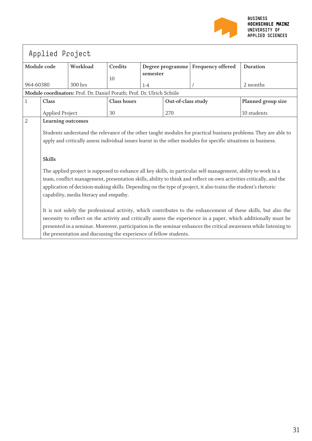

| Applied Project |                                                                                                                                                                                                                                                                                                                                                                                                                                                                                                                                                                                                                                                                                                                                                                                                                                                                                                                    |                                                                       |             |          |                    |                                      |                                                                                                                   |  |  |  |
|-----------------|--------------------------------------------------------------------------------------------------------------------------------------------------------------------------------------------------------------------------------------------------------------------------------------------------------------------------------------------------------------------------------------------------------------------------------------------------------------------------------------------------------------------------------------------------------------------------------------------------------------------------------------------------------------------------------------------------------------------------------------------------------------------------------------------------------------------------------------------------------------------------------------------------------------------|-----------------------------------------------------------------------|-------------|----------|--------------------|--------------------------------------|-------------------------------------------------------------------------------------------------------------------|--|--|--|
| Module code     |                                                                                                                                                                                                                                                                                                                                                                                                                                                                                                                                                                                                                                                                                                                                                                                                                                                                                                                    | Workload                                                              | Credits     |          |                    | Degree programme   Frequency offered | <b>Duration</b>                                                                                                   |  |  |  |
|                 |                                                                                                                                                                                                                                                                                                                                                                                                                                                                                                                                                                                                                                                                                                                                                                                                                                                                                                                    |                                                                       | 10          | semester |                    |                                      |                                                                                                                   |  |  |  |
| 964-60380       |                                                                                                                                                                                                                                                                                                                                                                                                                                                                                                                                                                                                                                                                                                                                                                                                                                                                                                                    | 300 hrs                                                               |             | $1-4$    |                    |                                      | 2 months                                                                                                          |  |  |  |
|                 |                                                                                                                                                                                                                                                                                                                                                                                                                                                                                                                                                                                                                                                                                                                                                                                                                                                                                                                    | Module coordinators: Prof. Dr. Daniel Porath; Prof. Dr. Ulrich Schüle |             |          |                    |                                      |                                                                                                                   |  |  |  |
| $\mathbf{1}$    | Class                                                                                                                                                                                                                                                                                                                                                                                                                                                                                                                                                                                                                                                                                                                                                                                                                                                                                                              |                                                                       | Class hours |          | Out-of-class study |                                      | Planned group size                                                                                                |  |  |  |
|                 | <b>Applied Project</b>                                                                                                                                                                                                                                                                                                                                                                                                                                                                                                                                                                                                                                                                                                                                                                                                                                                                                             |                                                                       | 30          |          | 270                |                                      | 10 students                                                                                                       |  |  |  |
| 2               |                                                                                                                                                                                                                                                                                                                                                                                                                                                                                                                                                                                                                                                                                                                                                                                                                                                                                                                    |                                                                       |             |          |                    |                                      |                                                                                                                   |  |  |  |
|                 | Learning outcomes<br>Students understand the relevance of the other taught modules for practical business problems. They are able to<br>apply and critically assess individual issues learnt in the other modules for specific situations in business.<br><b>Skills</b><br>The applied project is supposed to enhance all key skills, in particular self-management, ability to work in a<br>team, conflict management, presentation skills, ability to think and reflect on own activities critically, and the<br>application of decision-making skills. Depending on the type of project, it also trains the student's rhetoric<br>capability, media literacy and empathy.<br>It is not solely the professional activity, which contributes to the enhancement of these skills, but also the<br>necessity to reflect on the activity and critically assess the experience in a paper, which additionally must be |                                                                       |             |          |                    |                                      |                                                                                                                   |  |  |  |
|                 |                                                                                                                                                                                                                                                                                                                                                                                                                                                                                                                                                                                                                                                                                                                                                                                                                                                                                                                    |                                                                       |             |          |                    |                                      | presented in a seminar. Moreover, participation in the seminar enhances the critical awareness while listening to |  |  |  |
|                 |                                                                                                                                                                                                                                                                                                                                                                                                                                                                                                                                                                                                                                                                                                                                                                                                                                                                                                                    | the presentation and discussing the experience of fellow students.    |             |          |                    |                                      |                                                                                                                   |  |  |  |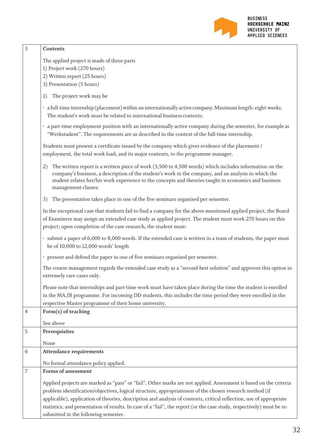

| 3              | Contents                                                                                                                                                                                                                                                                                                                                                                |
|----------------|-------------------------------------------------------------------------------------------------------------------------------------------------------------------------------------------------------------------------------------------------------------------------------------------------------------------------------------------------------------------------|
|                | The applied project is made of three parts                                                                                                                                                                                                                                                                                                                              |
|                | 1) Project work (270 hours)                                                                                                                                                                                                                                                                                                                                             |
|                | 2) Written report (25 hours)                                                                                                                                                                                                                                                                                                                                            |
|                | 3) Presentation (5 hours)                                                                                                                                                                                                                                                                                                                                               |
|                | The project work may be<br>1)                                                                                                                                                                                                                                                                                                                                           |
|                | · a full-time internship (placement) within an internationally active company. Minimum length: eight weeks.<br>The student's work must be related to international business contents.                                                                                                                                                                                   |
|                | a part-time employment position with an internationally active company during the semester, for example as<br>"Werkstudent". The requirements are as described in the context of the full-time internship.                                                                                                                                                              |
|                | Students must present a certificate issued by the company which gives evidence of the placement /<br>employment, the total work load, and its major contents, to the programme manager.                                                                                                                                                                                 |
|                | The written report is a written piece of work $(3,500 \text{ to } 4,500 \text{ words})$ which includes information on the<br>2)<br>company's business, a description of the student's work in the company, and an analysis in which the<br>student relates her/his work experience to the concepts and theories taught in economics and business<br>management classes. |
|                | The presentation takes place in one of the five seminars organised per semester.<br>3)                                                                                                                                                                                                                                                                                  |
|                | In the exceptional case that students fail to find a company for the above-mentioned applied project, the Board<br>of Examiners may assign an extended case study as applied project. The student must work 270 hours on this<br>project; upon completion of the case research, the student must:                                                                       |
|                | · submit a paper of 6,000 to 8,000 words. If the extended case is written in a team of students, the paper must<br>be of 10,000 to 12,000 words' length                                                                                                                                                                                                                 |
|                | · present and defend the paper in one of five seminars organised per semester.                                                                                                                                                                                                                                                                                          |
|                | The course management regards the extended case study as a "second-best solution" and approves this option in<br>extremely rare cases only.                                                                                                                                                                                                                             |
|                | Please note that internships and part-time work must have taken place during the time the student is enrolled<br>in the MA.IB programme. For incoming DD students, this includes the time period they were enrolled in the<br>respective Master programme of their home university.                                                                                     |
| $\overline{4}$ | Form(s) of teaching                                                                                                                                                                                                                                                                                                                                                     |
|                | See above                                                                                                                                                                                                                                                                                                                                                               |
| 5              | Prerequisites                                                                                                                                                                                                                                                                                                                                                           |
|                | None                                                                                                                                                                                                                                                                                                                                                                    |
| 6              | <b>Attendance requirements</b>                                                                                                                                                                                                                                                                                                                                          |
|                | No formal attendance policy applied.                                                                                                                                                                                                                                                                                                                                    |
| $\overline{7}$ | Forms of assessment                                                                                                                                                                                                                                                                                                                                                     |
|                | Applied projects are marked as "pass" or "fail". Other marks are not applied. Assessment is based on the criteria                                                                                                                                                                                                                                                       |
|                | problem identification/objectives, logical structure, appropriateness of the chosen research method (if                                                                                                                                                                                                                                                                 |
|                | applicable), application of theories, description and analysis of contents, critical reflection, use of appropriate                                                                                                                                                                                                                                                     |
|                | statistics, and presentation of results. In case of a "fail", the report (or the case study, respectively) must be re-                                                                                                                                                                                                                                                  |
|                | submitted in the following semester.                                                                                                                                                                                                                                                                                                                                    |